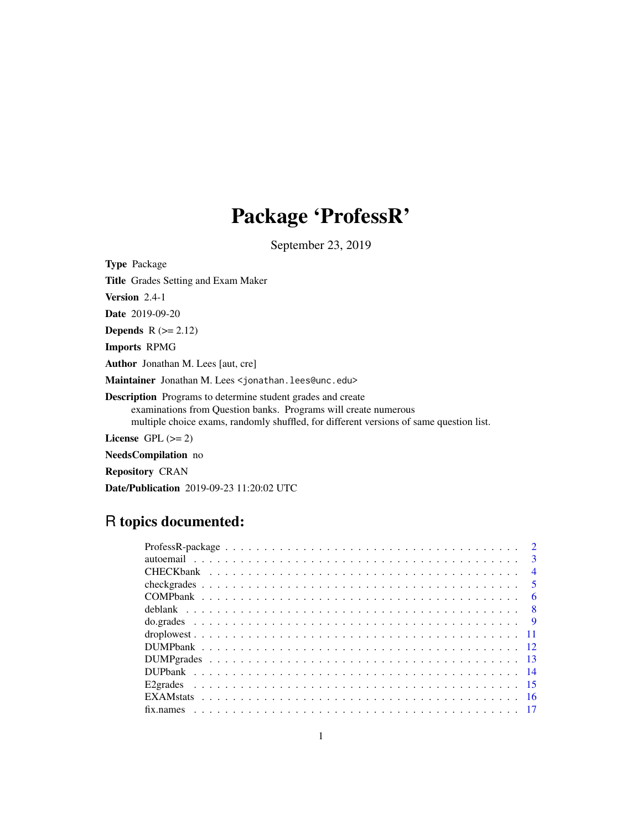# Package 'ProfessR'

September 23, 2019

Type Package Title Grades Setting and Exam Maker Version 2.4-1 Date 2019-09-20 Depends  $R (= 2.12)$ Imports RPMG Author Jonathan M. Lees [aut, cre] Maintainer Jonathan M. Lees <jonathan.lees@unc.edu> Description Programs to determine student grades and create examinations from Question banks. Programs will create numerous multiple choice exams, randomly shuffled, for different versions of same question list. License GPL  $(>= 2)$ 

NeedsCompilation no

Repository CRAN

Date/Publication 2019-09-23 11:20:02 UTC

## R topics documented:

| $\overline{\mathbf{3}}$ |
|-------------------------|
| $\overline{4}$          |
|                         |
| - 6                     |
|                         |
|                         |
|                         |
|                         |
|                         |
|                         |
|                         |
|                         |
|                         |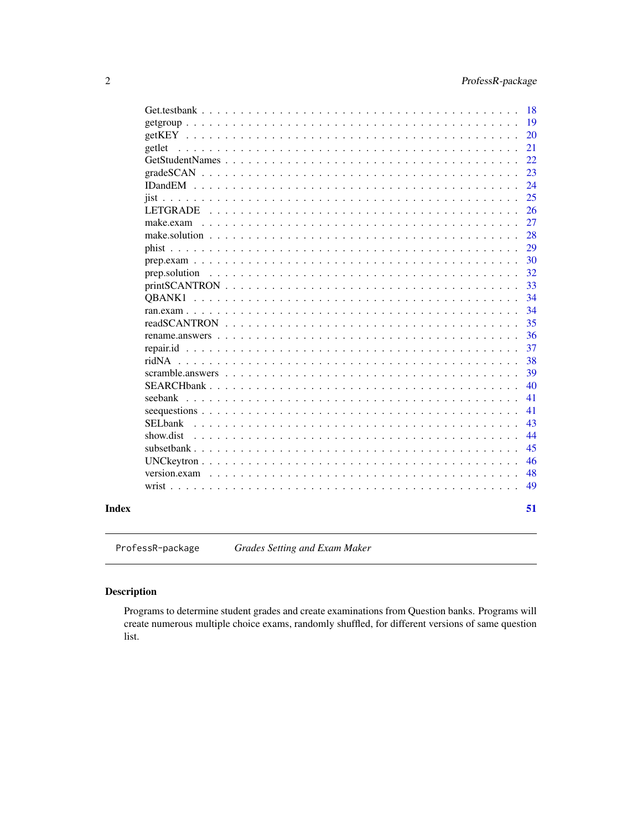<span id="page-1-0"></span>

|                                                                   | 49       |
|-------------------------------------------------------------------|----------|
|                                                                   | 48       |
|                                                                   | 46       |
|                                                                   | 45       |
| show.dist                                                         | 44       |
| SELbank                                                           | 43       |
|                                                                   | 41       |
| seebank<br>$\mathbb{R}^2$ . The state of the state $\mathbb{R}^2$ | 41       |
| $SEARCHbank$                                                      | 40       |
| scramble.answers                                                  | 39       |
| ridNA                                                             | 38       |
|                                                                   | 37       |
| rename.answers                                                    | 36       |
|                                                                   | 35       |
|                                                                   | 34       |
| <b>OBANK1</b>                                                     | 34       |
|                                                                   | 33       |
|                                                                   | 32       |
|                                                                   | 30       |
|                                                                   | 29       |
| make.exam<br>$\mathbf{r}$ . The same state $\mathbf{r}$           | 28       |
| <b>LETGRADE</b>                                                   | 26<br>27 |
|                                                                   | 25       |
| $IDandEM$                                                         | 24       |
|                                                                   | 23       |
|                                                                   | 22       |
| getlet                                                            | 21       |
|                                                                   | 20       |
|                                                                   | 19       |
|                                                                   | 18       |

ProfessR-package *Grades Setting and Exam Maker*

### Description

Programs to determine student grades and create examinations from Question banks. Programs will create numerous multiple choice exams, randomly shuffled, for different versions of same question list.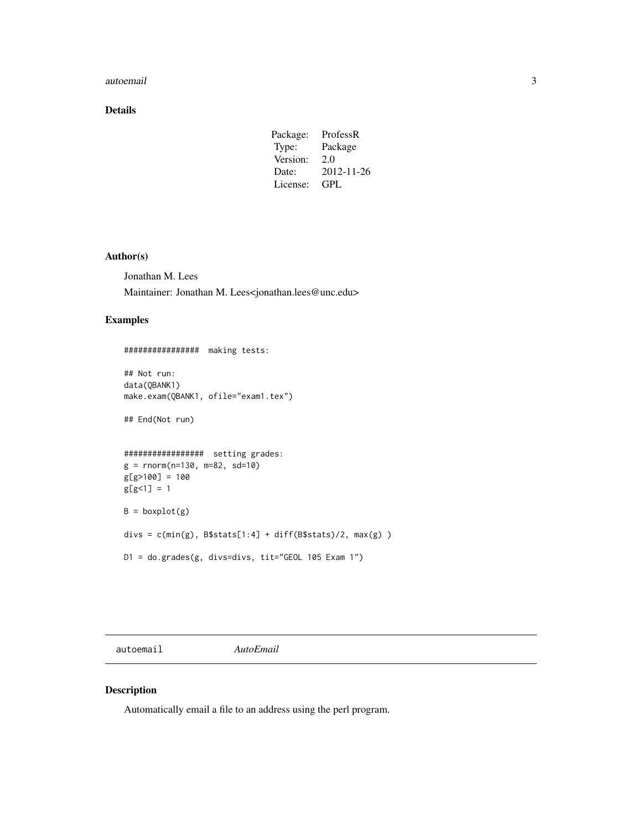#### <span id="page-2-0"></span>autoemail 3

### Details

| Package: | ProfessR   |
|----------|------------|
| Type:    | Package    |
| Version: | 2.0        |
| Date:    | 2012-11-26 |
| License: | GPL.       |

#### Author(s)

Jonathan M. Lees Maintainer: Jonathan M. Lees<jonathan.lees@unc.edu>

#### Examples

```
################ making tests:
## Not run:
data(QBANK1)
make.exam(QBANK1, ofile="exam1.tex")
## End(Not run)
################# setting grades:
g = rnorm(n=130, m=82, sd=10)
g[g>100] = 100
g[g<1] = 1B = boxplot(g)divs = c(min(g), B$stats[1:4] + diff(B$stats)/2, max(g) )
D1 = do.grades(g, divs=divs, tit="GEOL 105 Exam 1")
```
autoemail *AutoEmail*

### Description

Automatically email a file to an address using the perl program.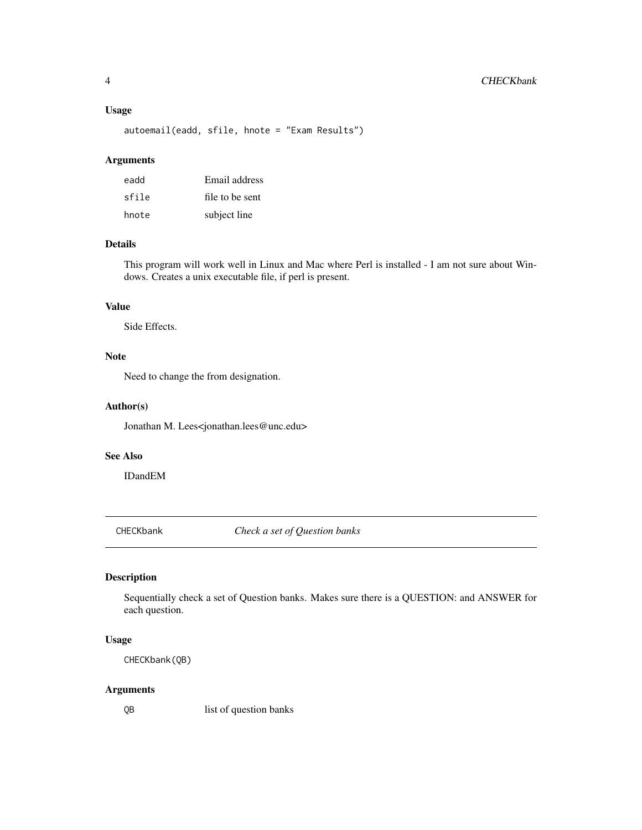#### <span id="page-3-0"></span>Usage

autoemail(eadd, sfile, hnote = "Exam Results")

#### Arguments

| eadd  | Email address   |
|-------|-----------------|
| sfile | file to be sent |
| hnote | subject line    |

### Details

This program will work well in Linux and Mac where Perl is installed - I am not sure about Windows. Creates a unix executable file, if perl is present.

### Value

Side Effects.

### Note

Need to change the from designation.

#### Author(s)

Jonathan M. Lees<jonathan.lees@unc.edu>

### See Also

IDandEM

CHECKbank *Check a set of Question banks*

### Description

Sequentially check a set of Question banks. Makes sure there is a QUESTION: and ANSWER for each question.

### Usage

CHECKbank(QB)

#### Arguments

QB list of question banks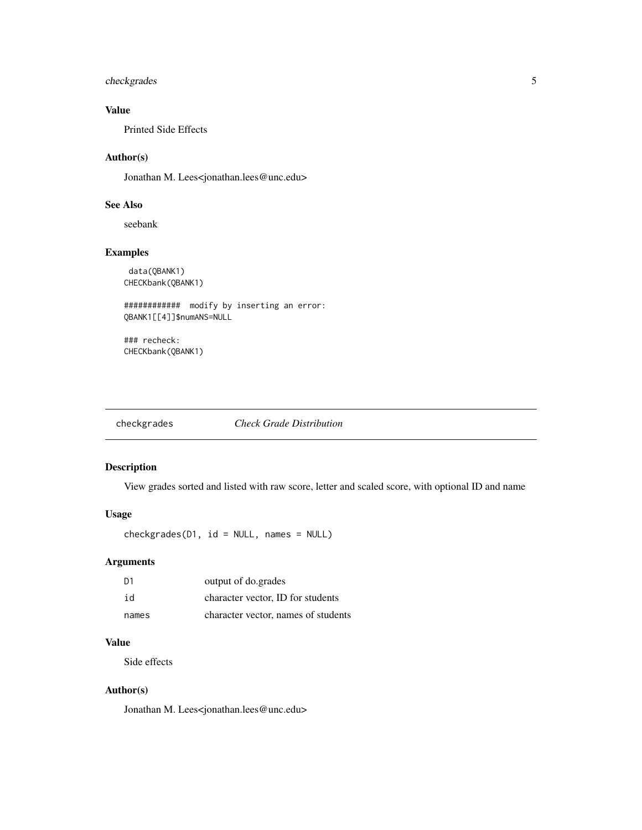### <span id="page-4-0"></span>checkgrades 5

### Value

Printed Side Effects

### Author(s)

Jonathan M. Lees<jonathan.lees@unc.edu>

### See Also

seebank

### Examples

data(QBANK1) CHECKbank(QBANK1)

############ modify by inserting an error: QBANK1[[4]]\$numANS=NULL

### recheck: CHECKbank(QBANK1)

checkgrades *Check Grade Distribution*

### Description

View grades sorted and listed with raw score, letter and scaled score, with optional ID and name

### Usage

checkgrades(D1, id = NULL, names = NULL)

### Arguments

| D1    | output of do.grades                 |
|-------|-------------------------------------|
| id    | character vector. ID for students   |
| names | character vector, names of students |

### Value

Side effects

### Author(s)

Jonathan M. Lees<jonathan.lees@unc.edu>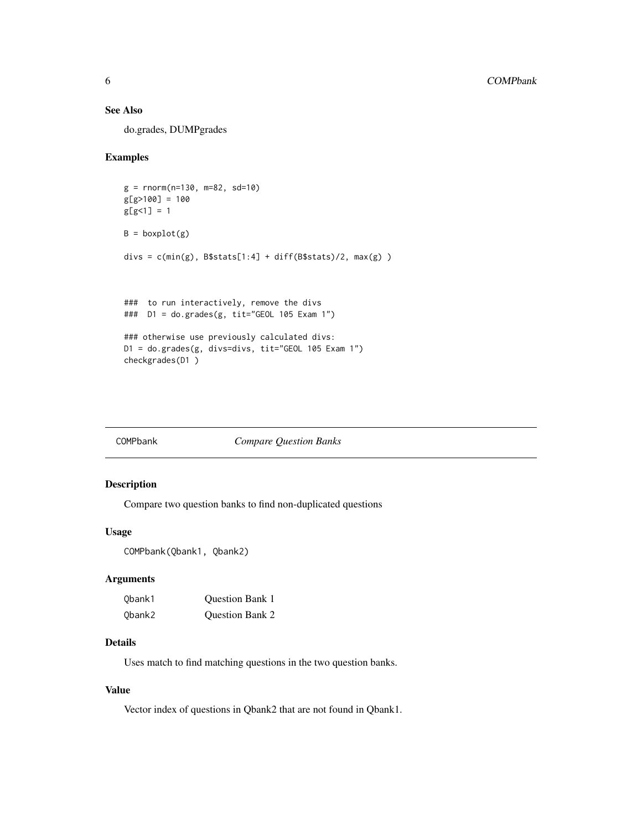### <span id="page-5-0"></span>See Also

do.grades, DUMPgrades

### Examples

```
g = rnorm(n=130, m=82, sd=10)
g[g>100] = 100
g[g<1] = 1B = boxplot(g)divs = c(min(g), B$stats[1:4] + diff(B$stats)/2, max(g) )### to run interactively, remove the divs
### D1 = do.grades(g, tit="GEOL 105 Exam 1")
### otherwise use previously calculated divs:
D1 = do.grades(g, divs=divs, tit="GEOL 105 Exam 1")
checkgrades(D1 )
```

| COMPbank | <b>Compare Question Banks</b> |
|----------|-------------------------------|
|----------|-------------------------------|

### Description

Compare two question banks to find non-duplicated questions

#### Usage

```
COMPbank(Qbank1, Qbank2)
```
### Arguments

| Obank1 | <b>Ouestion Bank 1</b> |
|--------|------------------------|
| Obank2 | <b>Ouestion Bank 2</b> |

### Details

Uses match to find matching questions in the two question banks.

### Value

Vector index of questions in Qbank2 that are not found in Qbank1.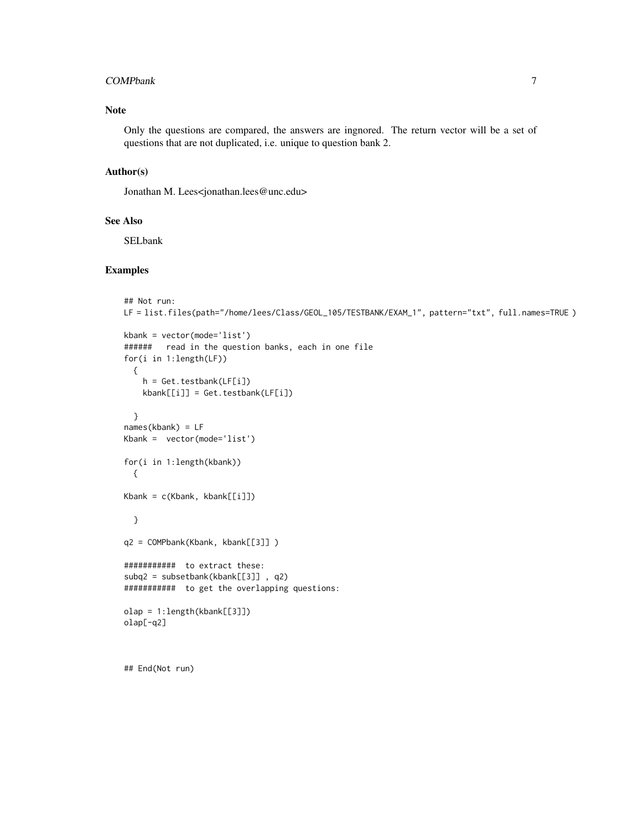#### COMPbank 7

### Note

Only the questions are compared, the answers are ingnored. The return vector will be a set of questions that are not duplicated, i.e. unique to question bank 2.

### Author(s)

Jonathan M. Lees<jonathan.lees@unc.edu>

#### See Also

SELbank

### Examples

```
## Not run:
LF = list.files(path="/home/lees/Class/GEOL_105/TESTBANK/EXAM_1", pattern="txt", full.names=TRUE )
kbank = vector(mode='list')
###### read in the question banks, each in one file
for(i in 1:length(LF))
  {
   h = Get.testbank(LF[i])
   kbank[[i]] = Get.testbank(LF[i])
  }
names(kbank) = LF
Kbank = vector(mode='list')
for(i in 1:length(kbank))
  {
Kbank = c(Kbank, kbank[[i]])
  }
q2 = COMPbank(Kbank, kbank[[3]] )
########### to extract these:
subq2 = subsetbank(kbank[[3]] , q2)
########### to get the overlapping questions:
olap = 1:length(kbank[[3]])
olap[-q2]
```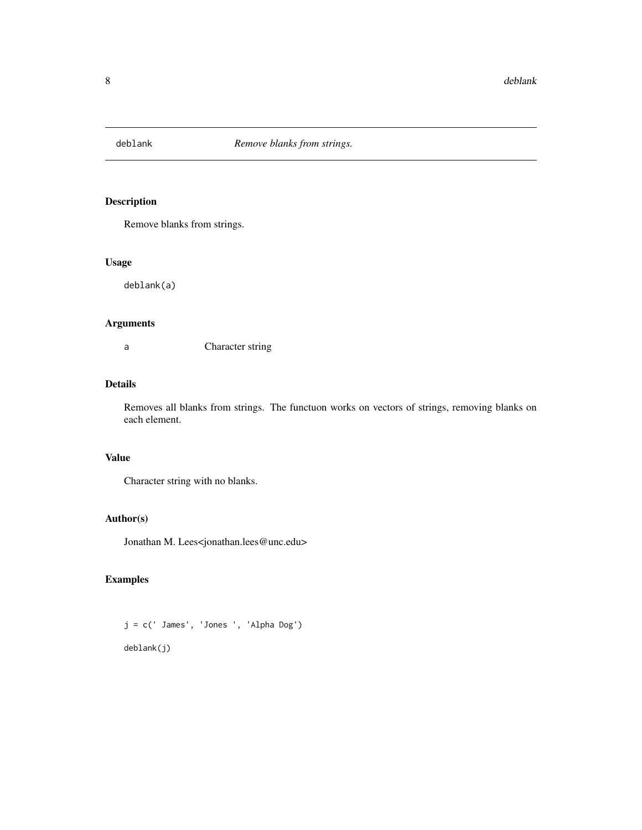<span id="page-7-0"></span>

Remove blanks from strings.

#### Usage

deblank(a)

### Arguments

a Character string

### Details

Removes all blanks from strings. The functuon works on vectors of strings, removing blanks on each element.

### Value

Character string with no blanks.

### Author(s)

Jonathan M. Lees<jonathan.lees@unc.edu>

### Examples

j = c(' James', 'Jones ', 'Alpha Dog') deblank(j)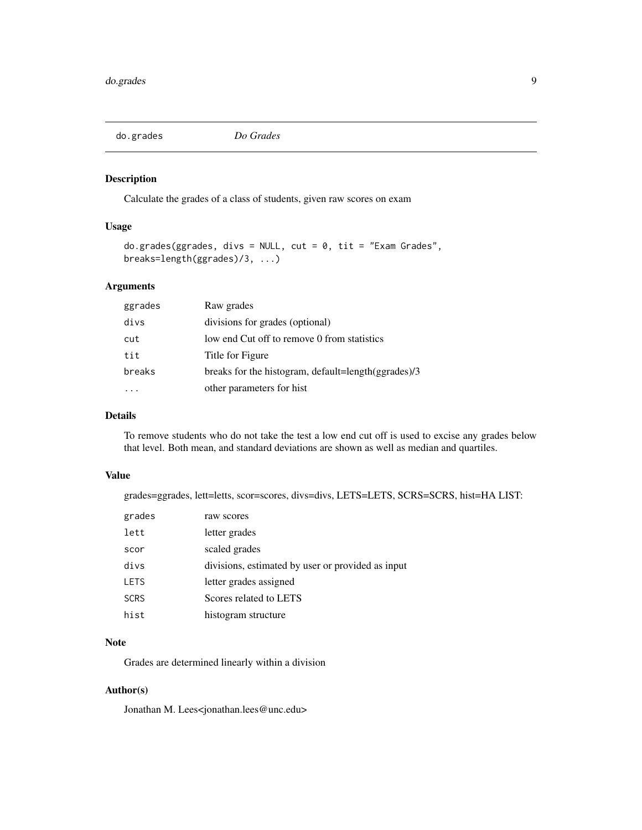<span id="page-8-0"></span>

Calculate the grades of a class of students, given raw scores on exam

#### Usage

```
do.grades(ggrades, divs = NULL, cut = 0, tit = "Exam Grades",
breaks=length(ggrades)/3, ...)
```
### Arguments

| ggrades | Raw grades                                          |
|---------|-----------------------------------------------------|
| divs    | divisions for grades (optional)                     |
| cut     | low end Cut off to remove 0 from statistics         |
| tit     | Title for Figure                                    |
| breaks  | breaks for the histogram, default=length(ggrades)/3 |
|         | other parameters for hist                           |

### Details

To remove students who do not take the test a low end cut off is used to excise any grades below that level. Both mean, and standard deviations are shown as well as median and quartiles.

#### Value

grades=ggrades, lett=letts, scor=scores, divs=divs, LETS=LETS, SCRS=SCRS, hist=HA LIST:

| grades      | raw scores                                        |
|-------------|---------------------------------------------------|
| lett        | letter grades                                     |
| scor        | scaled grades                                     |
| divs        | divisions, estimated by user or provided as input |
| <b>LETS</b> | letter grades assigned                            |
| <b>SCRS</b> | Scores related to LETS                            |
| hist        | histogram structure                               |
|             |                                                   |

### Note

Grades are determined linearly within a division

### Author(s)

Jonathan M. Lees<jonathan.lees@unc.edu>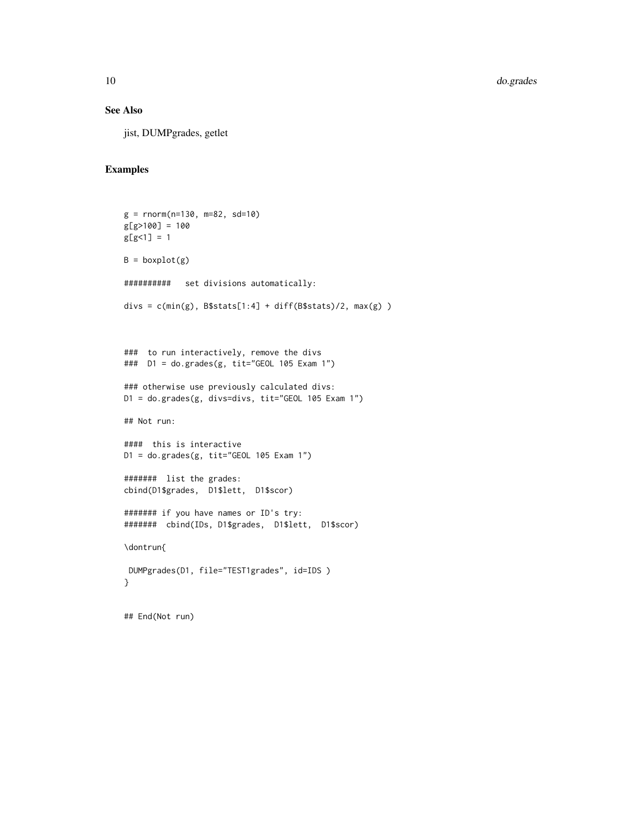### See Also

jist, DUMPgrades, getlet

```
g = rnorm(n=130, m=82, sd=10)
g[g>100] = 100
g[g<1] = 1B = boxplot(g)########## set divisions automatically:
divs = c(min(g), B$stats[1:4] + diff(B$stats)/2, max(g) )
### to run interactively, remove the divs
### D1 = do.grades(g, tit="GEOL 105 Exam 1")
### otherwise use previously calculated divs:
D1 = do.grades(g, divs=divs, tit="GEOL 105 Exam 1")
## Not run:
#### this is interactive
D1 = do.grades(g, tit="GEOL 105 Exam 1")
####### list the grades:
cbind(D1$grades, D1$lett, D1$scor)
####### if you have names or ID's try:
####### cbind(IDs, D1$grades, D1$lett, D1$scor)
\dontrun{
DUMPgrades(D1, file="TEST1grades", id=IDS )
}
## End(Not run)
```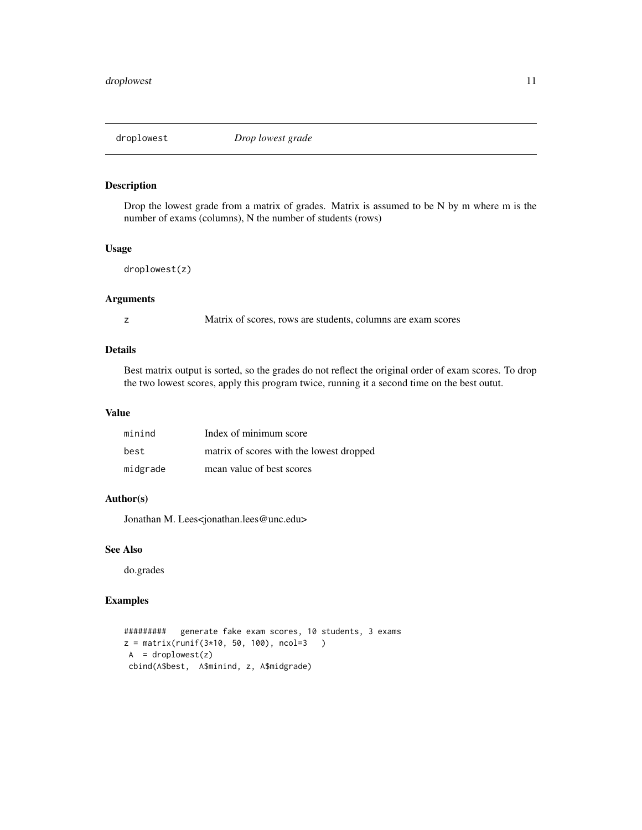<span id="page-10-0"></span>

Drop the lowest grade from a matrix of grades. Matrix is assumed to be N by m where m is the number of exams (columns), N the number of students (rows)

### Usage

```
droplowest(z)
```
### Arguments

z Matrix of scores, rows are students, columns are exam scores

### Details

Best matrix output is sorted, so the grades do not reflect the original order of exam scores. To drop the two lowest scores, apply this program twice, running it a second time on the best outut.

#### Value

| minind   | Index of minimum score                   |
|----------|------------------------------------------|
| best     | matrix of scores with the lowest dropped |
| midgrade | mean value of best scores                |

### Author(s)

Jonathan M. Lees<jonathan.lees@unc.edu>

### See Also

do.grades

```
######### generate fake exam scores, 10 students, 3 exams
z = matrix(runif(3*10, 50, 100), ncol=3 )
A = droplowest(z)cbind(A$best, A$minind, z, A$midgrade)
```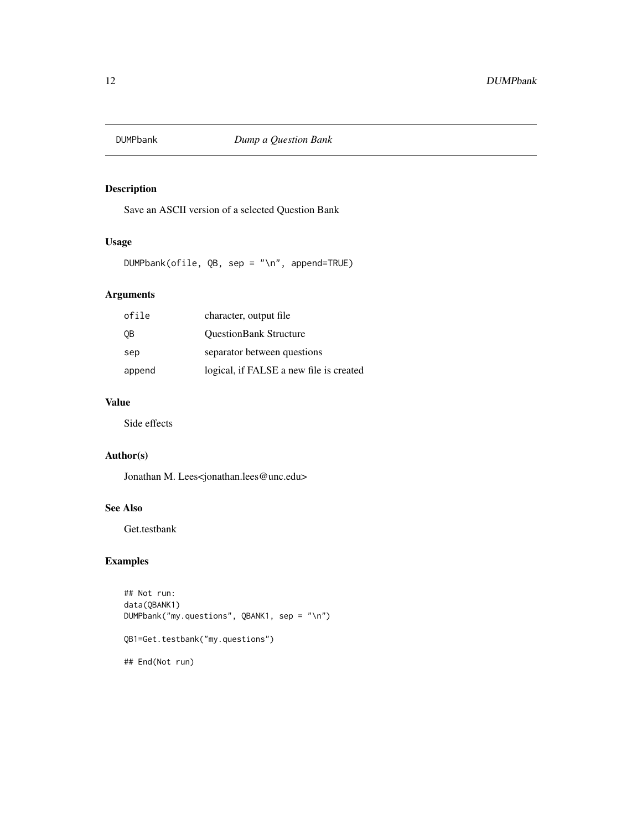<span id="page-11-0"></span>

Save an ASCII version of a selected Question Bank

### Usage

DUMPbank(ofile, QB, sep = "\n", append=TRUE)

### Arguments

| ofile  | character, output file                  |
|--------|-----------------------------------------|
| 0B     | <b>QuestionBank Structure</b>           |
| sep    | separator between questions             |
| append | logical, if FALSE a new file is created |

### Value

Side effects

### Author(s)

Jonathan M. Lees<jonathan.lees@unc.edu>

### See Also

Get.testbank

```
## Not run:
data(QBANK1)
DUMPbank("my.questions", QBANK1, sep = "\n")
QB1=Get.testbank("my.questions")
## End(Not run)
```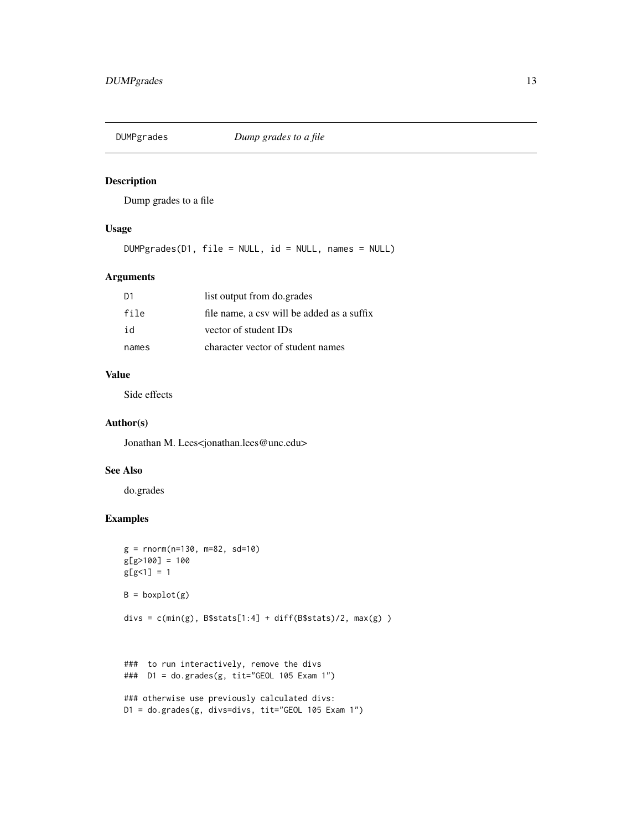<span id="page-12-0"></span>

Dump grades to a file

### Usage

DUMPgrades(D1, file = NULL, id = NULL, names = NULL)

### Arguments

| D1    | list output from do.grades                 |
|-------|--------------------------------------------|
| file  | file name, a csy will be added as a suffix |
| id    | vector of student IDs                      |
| names | character vector of student names          |

### Value

Side effects

#### Author(s)

Jonathan M. Lees<jonathan.lees@unc.edu>

#### See Also

do.grades

```
g = rnorm(n=130, m=82, sd=10)
g[g>100] = 100
g[g<1] = 1B = boxplot(g)divs = c(min(g), B$stats[1:4] + diff(B$stats)/2, max(g) )
```

```
### to run interactively, remove the divs
### D1 = do.grades(g, tit="GEOL 105 Exam 1")
```

```
### otherwise use previously calculated divs:
D1 = do.grades(g, divs=divs, tit="GEOL 105 Exam 1")
```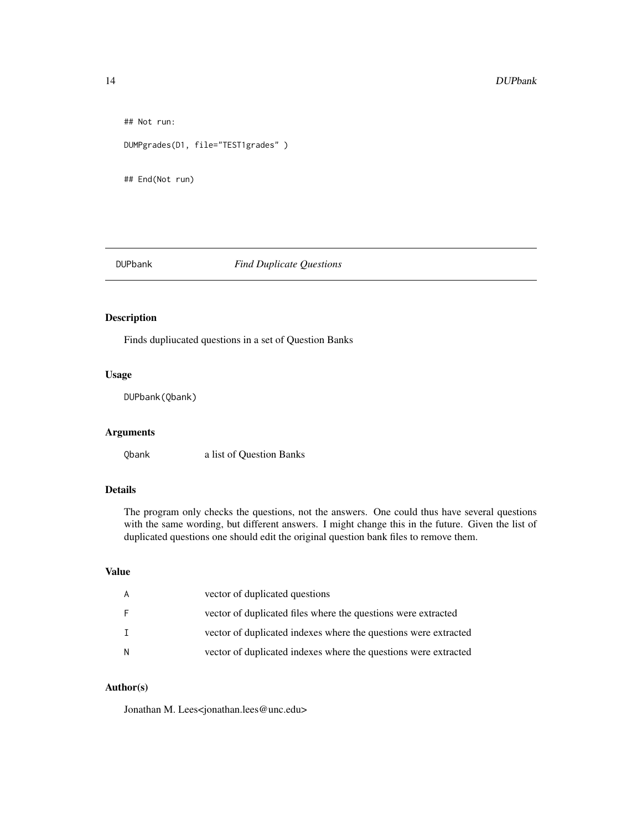```
## Not run:
DUMPgrades(D1, file="TEST1grades" )
## End(Not run)
```
DUPbank *Find Duplicate Questions*

### Description

Finds dupliucated questions in a set of Question Banks

### Usage

DUPbank(Qbank)

### Arguments

Qbank a list of Question Banks

### Details

The program only checks the questions, not the answers. One could thus have several questions with the same wording, but different answers. I might change this in the future. Given the list of duplicated questions one should edit the original question bank files to remove them.

### Value

|     | vector of duplicated questions                                  |
|-----|-----------------------------------------------------------------|
|     | vector of duplicated files where the questions were extracted   |
|     | vector of duplicated indexes where the questions were extracted |
| - N | vector of duplicated indexes where the questions were extracted |

### Author(s)

Jonathan M. Lees<jonathan.lees@unc.edu>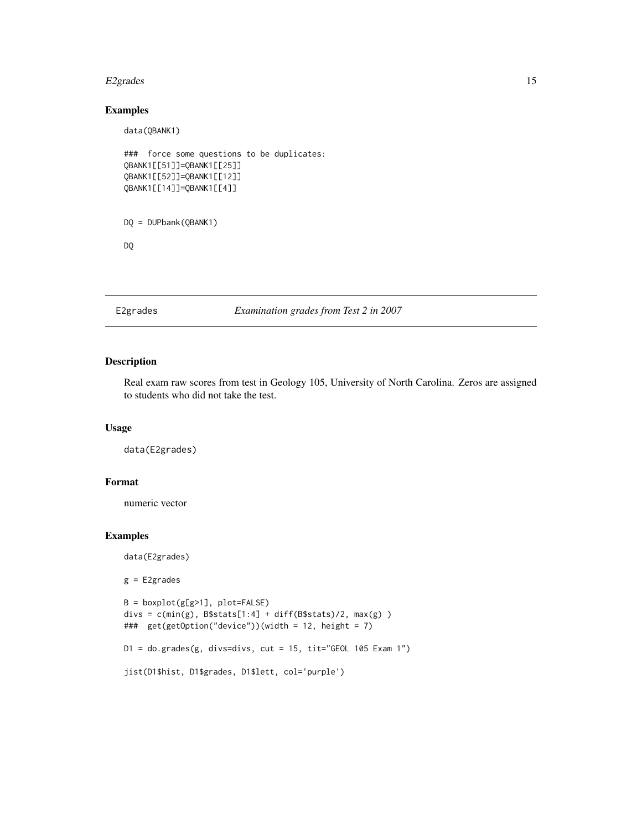#### <span id="page-14-0"></span>E2grades 15

### Examples

```
data(QBANK1)
### force some questions to be duplicates:
QBANK1[[51]]=QBANK1[[25]]
QBANK1[[52]]=QBANK1[[12]]
QBANK1[[14]]=QBANK1[[4]]
DQ = DUPbank(QBANK1)
DQ
```
### E2grades *Examination grades from Test 2 in 2007*

### Description

Real exam raw scores from test in Geology 105, University of North Carolina. Zeros are assigned to students who did not take the test.

### Usage

data(E2grades)

### Format

numeric vector

### Examples

data(E2grades)

g = E2grades

```
B = boxplot(g[g>1], plot=FALSE)
divs = c(min(g), B$stats[1:4] + diff(B$stats)/2, max(g) )### get(getOption("device"))(width = 12, height = 7)
D1 = do.grades(g, divs=divs, cut = 15, tit="GEOL 105 Exam 1")
jist(D1$hist, D1$grades, D1$lett, col='purple')
```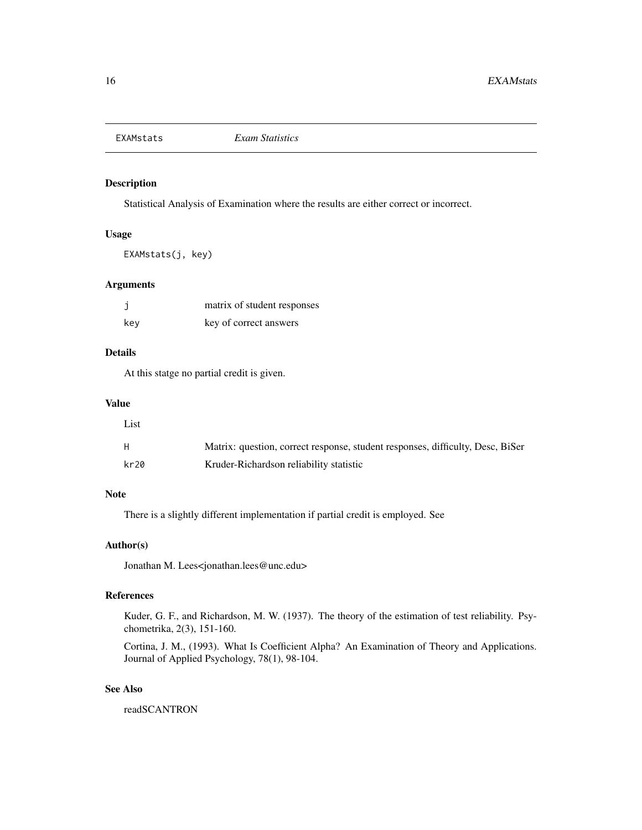<span id="page-15-0"></span>

Statistical Analysis of Examination where the results are either correct or incorrect.

### Usage

EXAMstats(j, key)

### Arguments

|     | matrix of student responses |
|-----|-----------------------------|
| kev | key of correct answers      |

### Details

At this statge no partial credit is given.

### Value

| List |                                                                                |
|------|--------------------------------------------------------------------------------|
| Н.   | Matrix: question, correct response, student responses, difficulty, Desc, BiSer |
| kr20 | Kruder-Richardson reliability statistic                                        |

### Note

There is a slightly different implementation if partial credit is employed. See

#### Author(s)

Jonathan M. Lees<jonathan.lees@unc.edu>

### References

Kuder, G. F., and Richardson, M. W. (1937). The theory of the estimation of test reliability. Psychometrika, 2(3), 151-160.

Cortina, J. M., (1993). What Is Coefficient Alpha? An Examination of Theory and Applications. Journal of Applied Psychology, 78(1), 98-104.

### See Also

readSCANTRON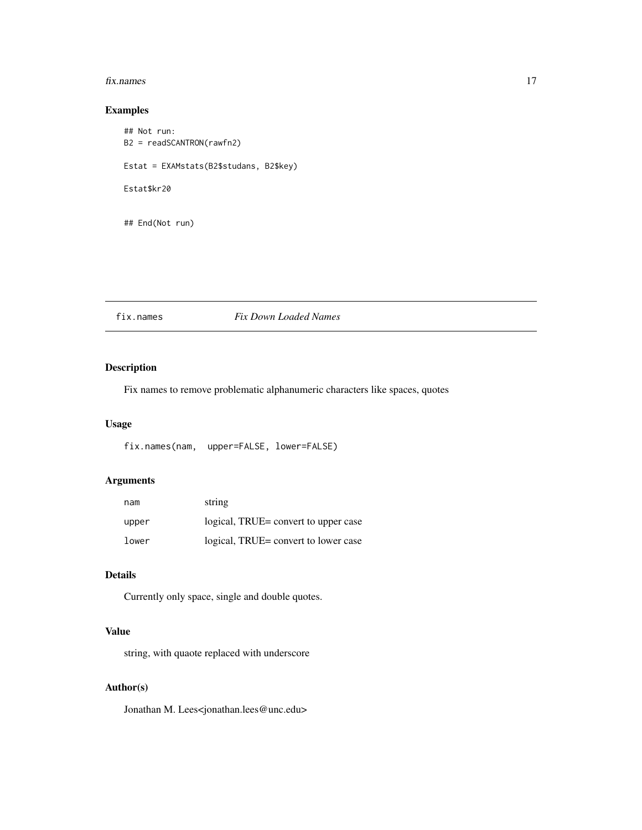#### <span id="page-16-0"></span>fix.names 17

### Examples

## Not run: B2 = readSCANTRON(rawfn2) Estat = EXAMstats(B2\$studans, B2\$key) Estat\$kr20 ## End(Not run)

### fix.names *Fix Down Loaded Names*

### Description

Fix names to remove problematic alphanumeric characters like spaces, quotes

### Usage

fix.names(nam, upper=FALSE, lower=FALSE)

### Arguments

| nam   | string                               |
|-------|--------------------------------------|
| upper | logical, TRUE= convert to upper case |
| lower | logical, TRUE= convert to lower case |

### Details

Currently only space, single and double quotes.

### Value

string, with quaote replaced with underscore

### Author(s)

Jonathan M. Lees<jonathan.lees@unc.edu>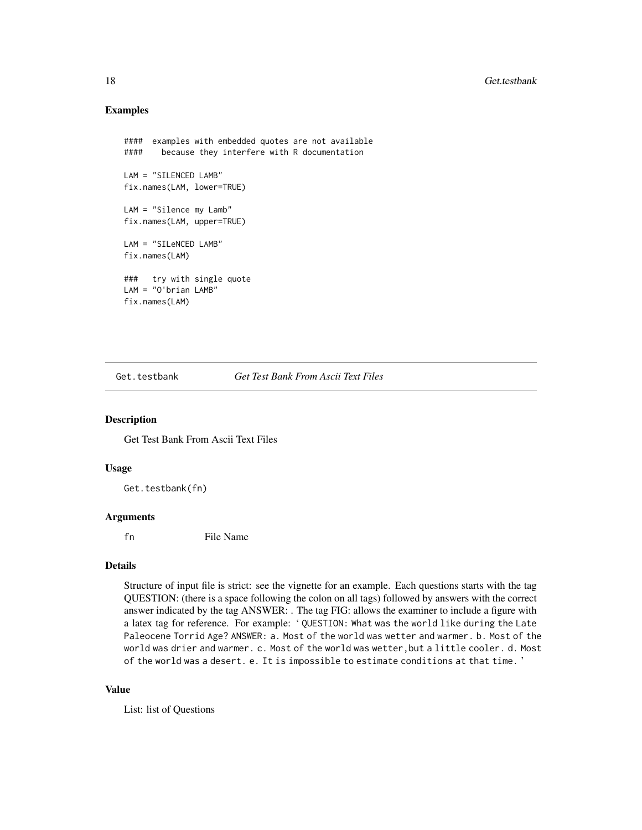### Examples

```
#### examples with embedded quotes are not available
#### because they interfere with R documentation
LAM = "SILENCED LAMB"
fix.names(LAM, lower=TRUE)
LAM = "Silence my Lamb"
fix.names(LAM, upper=TRUE)
LAM = "SILeNCED LAMB"
fix.names(LAM)
### try with single quote
LAM = "O'brian LAMB"
fix.names(LAM)
```
Get.testbank *Get Test Bank From Ascii Text Files*

#### Description

Get Test Bank From Ascii Text Files

#### Usage

Get.testbank(fn)

#### Arguments

fn File Name

#### Details

Structure of input file is strict: see the vignette for an example. Each questions starts with the tag QUESTION: (there is a space following the colon on all tags) followed by answers with the correct answer indicated by the tag ANSWER: . The tag FIG: allows the examiner to include a figure with a latex tag for reference. For example: ' QUESTION: What was the world like during the Late Paleocene Torrid Age? ANSWER: a. Most of the world was wetter and warmer. b. Most of the world was drier and warmer. c. Most of the world was wetter,but a little cooler. d. Most of the world was a desert. e. It is impossible to estimate conditions at that time. '

#### Value

List: list of Questions

<span id="page-17-0"></span>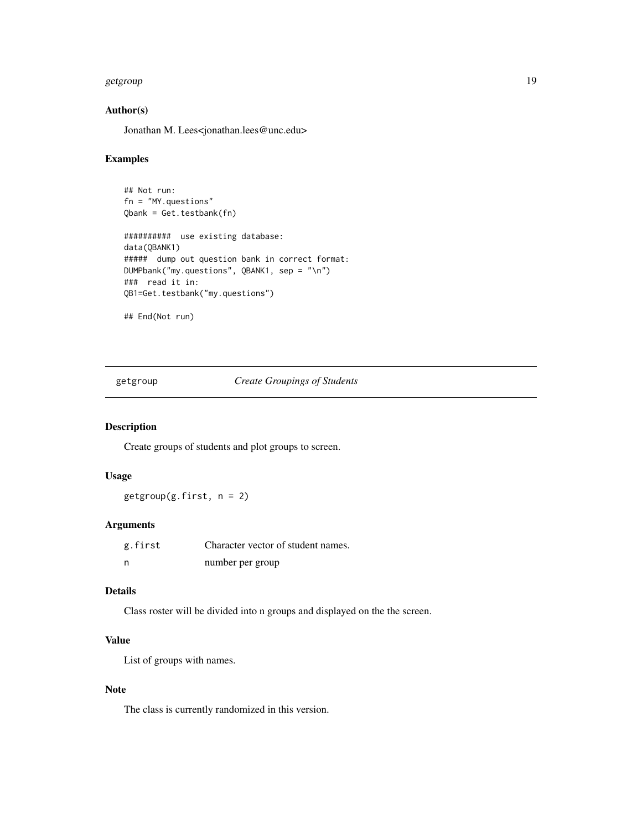#### <span id="page-18-0"></span>getgroup that the set of the set of the set of the set of the set of the set of the set of the set of the set of the set of the set of the set of the set of the set of the set of the set of the set of the set of the set of

### Author(s)

Jonathan M. Lees<jonathan.lees@unc.edu>

#### Examples

```
## Not run:
fn = "MY.questions"
Qbank = Get.testbank(fn)
########## use existing database:
data(QBANK1)
##### dump out question bank in correct format:
DUMPbank("my.questions", QBANK1, sep = "\n")
### read it in:
QB1=Get.testbank("my.questions")
## End(Not run)
```
getgroup *Create Groupings of Students*

### Description

Create groups of students and plot groups to screen.

#### Usage

 $getgroup(g.first, n = 2)$ 

### Arguments

| g.first | Character vector of student names. |
|---------|------------------------------------|
| n       | number per group                   |

#### Details

Class roster will be divided into n groups and displayed on the the screen.

### Value

List of groups with names.

### Note

The class is currently randomized in this version.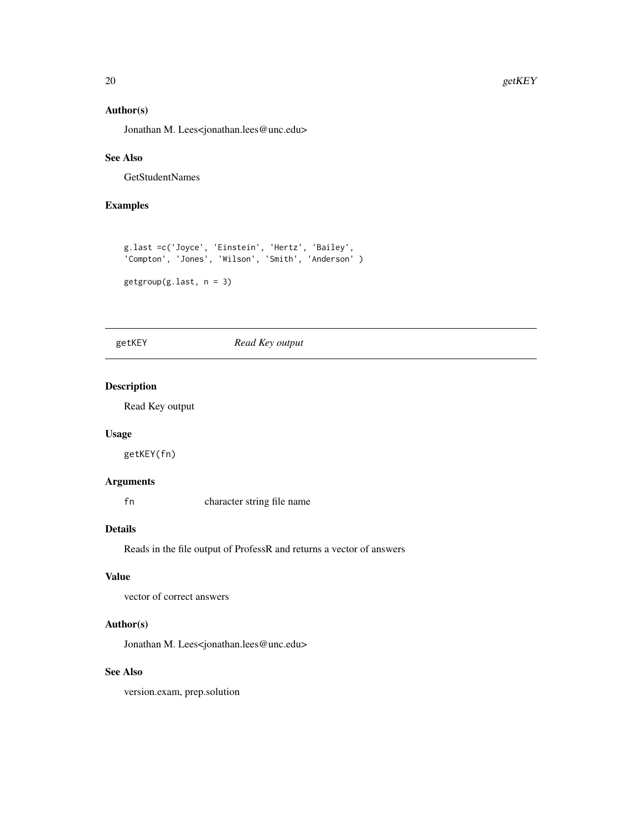### <span id="page-19-0"></span>Author(s)

Jonathan M. Lees<jonathan.lees@unc.edu>

### See Also

GetStudentNames

### Examples

```
g.last =c('Joyce', 'Einstein', 'Hertz', 'Bailey',
'Compton', 'Jones', 'Wilson', 'Smith', 'Anderson' )
getgroup(g.last, n = 3)
```
### getKEY *Read Key output*

### Description

Read Key output

#### Usage

getKEY(fn)

#### Arguments

fn character string file name

#### Details

Reads in the file output of ProfessR and returns a vector of answers

### Value

vector of correct answers

#### Author(s)

Jonathan M. Lees<jonathan.lees@unc.edu>

### See Also

version.exam, prep.solution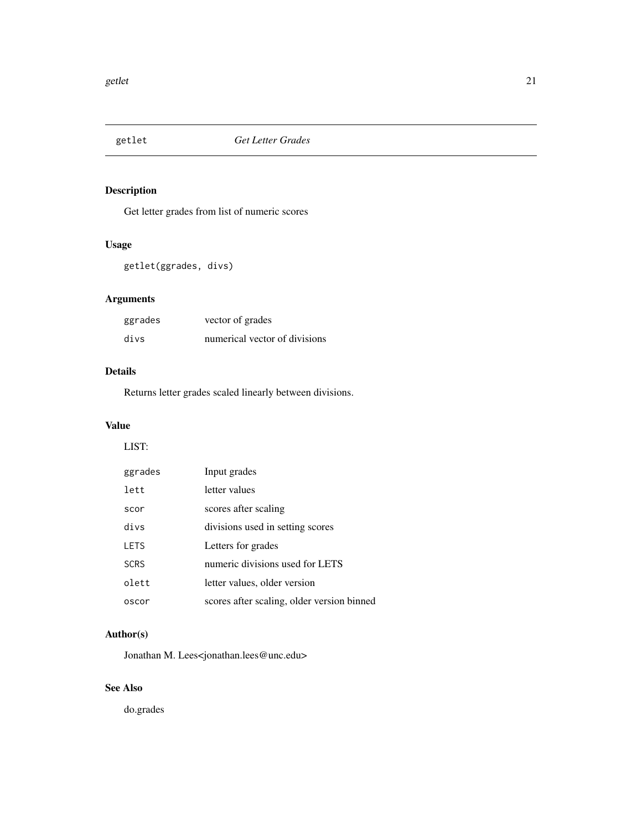<span id="page-20-0"></span>

Get letter grades from list of numeric scores

### Usage

getlet(ggrades, divs)

## Arguments

| ggrades | vector of grades              |
|---------|-------------------------------|
| divs    | numerical vector of divisions |

### Details

Returns letter grades scaled linearly between divisions.

### Value

### LIST:

| ggrades     | Input grades                               |
|-------------|--------------------------------------------|
| lett        | letter values                              |
| scor        | scores after scaling                       |
| divs        | divisions used in setting scores           |
| <b>LETS</b> | Letters for grades                         |
| <b>SCRS</b> | numeric divisions used for LETS            |
| olett       | letter values, older version               |
| oscor       | scores after scaling, older version binned |

### Author(s)

Jonathan M. Lees<jonathan.lees@unc.edu>

### See Also

do.grades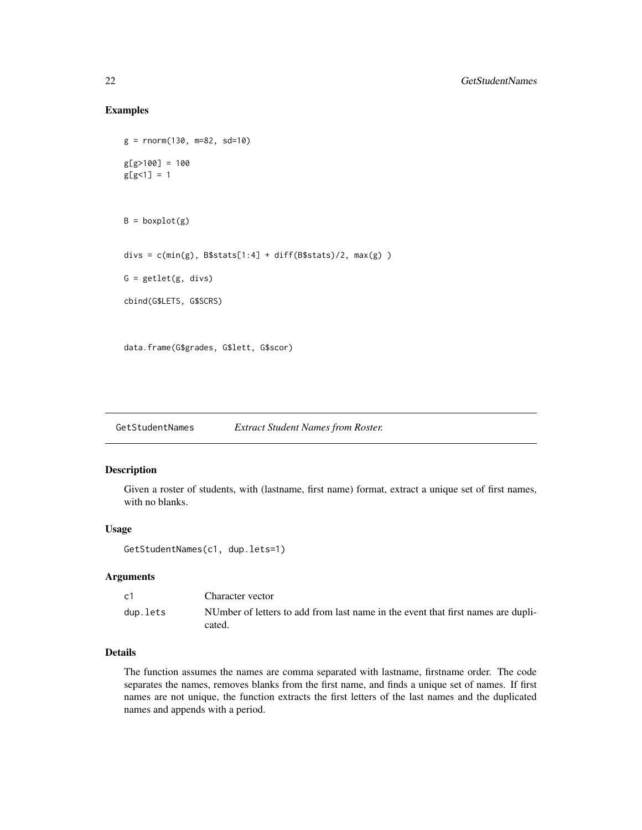### Examples

```
g = rnorm(130, m=82, sd=10)
g[g>100] = 100
g[g<1] = 1B = boxplot(g)divs = c(min(g), B$stats[1:4] + diff(B$stats)/2, max(g) )
G = getlet(g, divs)cbind(G$LETS, G$SCRS)
data.frame(G$grades, G$lett, G$scor)
```
GetStudentNames *Extract Student Names from Roster.*

### Description

Given a roster of students, with (lastname, first name) format, extract a unique set of first names, with no blanks.

### Usage

```
GetStudentNames(c1, dup.lets=1)
```
### Arguments

| c <sub>1</sub> | Character vector                                                                           |
|----------------|--------------------------------------------------------------------------------------------|
| dup.lets       | NUmber of letters to add from last name in the event that first names are dupli-<br>cated. |

### Details

The function assumes the names are comma separated with lastname, firstname order. The code separates the names, removes blanks from the first name, and finds a unique set of names. If first names are not unique, the function extracts the first letters of the last names and the duplicated names and appends with a period.

<span id="page-21-0"></span>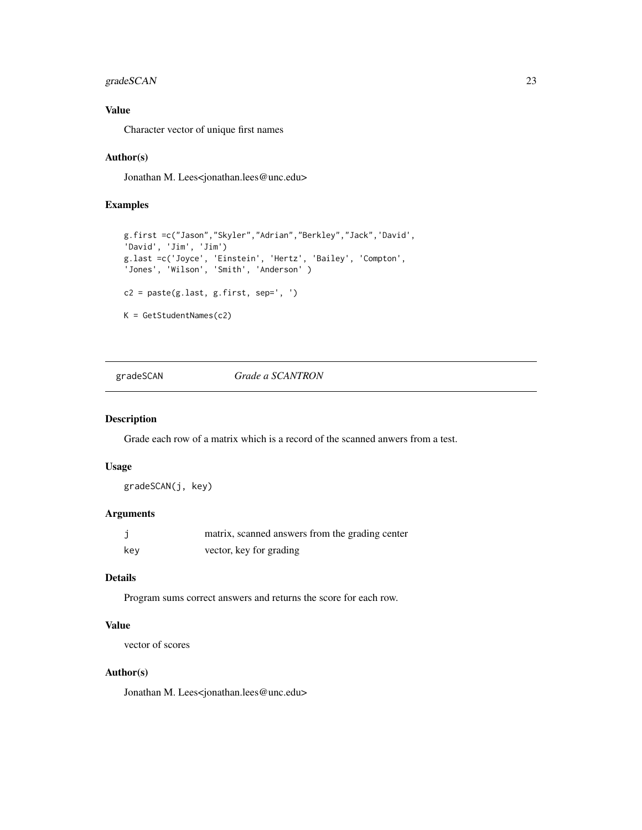### <span id="page-22-0"></span>gradeSCAN 23

### Value

Character vector of unique first names

### Author(s)

Jonathan M. Lees<jonathan.lees@unc.edu>

### Examples

```
g.first =c("Jason","Skyler","Adrian","Berkley","Jack",'David',
'David', 'Jim', 'Jim')
g.last =c('Joyce', 'Einstein', 'Hertz', 'Bailey', 'Compton',
'Jones', 'Wilson', 'Smith', 'Anderson' )
c2 = paste(g,last, g.first, sep=', ' )K = GetStudentNames(c2)
```
### gradeSCAN *Grade a SCANTRON*

#### Description

Grade each row of a matrix which is a record of the scanned anwers from a test.

### Usage

gradeSCAN(j, key)

### Arguments

|     | matrix, scanned answers from the grading center |
|-----|-------------------------------------------------|
| kev | vector, key for grading                         |

### Details

Program sums correct answers and returns the score for each row.

### Value

vector of scores

### Author(s)

Jonathan M. Lees<jonathan.lees@unc.edu>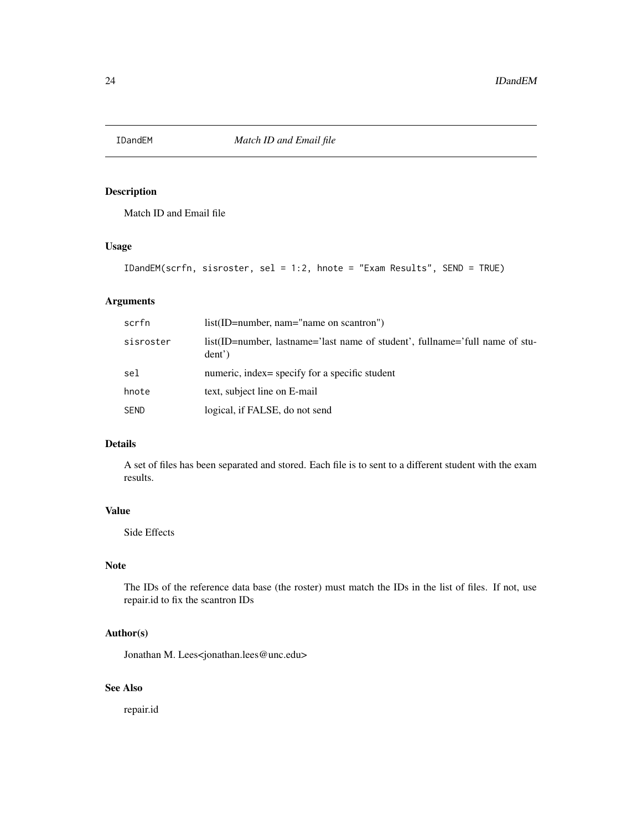<span id="page-23-0"></span>

Match ID and Email file

### Usage

```
IDandEM(scrfn, sisroster, sel = 1:2, hnote = "Exam Results", SEND = TRUE)
```
### Arguments

| scrfn       | $list(ID=number, nam='name on scantron")$                                              |
|-------------|----------------------------------------------------------------------------------------|
| sisroster   | list(ID=number, lastname='last name of student', fullname='full name of stu-<br>dent') |
| sel         | numeric, index= specify for a specific student                                         |
| hnote       | text, subject line on E-mail                                                           |
| <b>SEND</b> | logical, if FALSE, do not send                                                         |

### Details

A set of files has been separated and stored. Each file is to sent to a different student with the exam results.

### Value

Side Effects

### Note

The IDs of the reference data base (the roster) must match the IDs in the list of files. If not, use repair.id to fix the scantron IDs

### Author(s)

Jonathan M. Lees<jonathan.lees@unc.edu>

### See Also

repair.id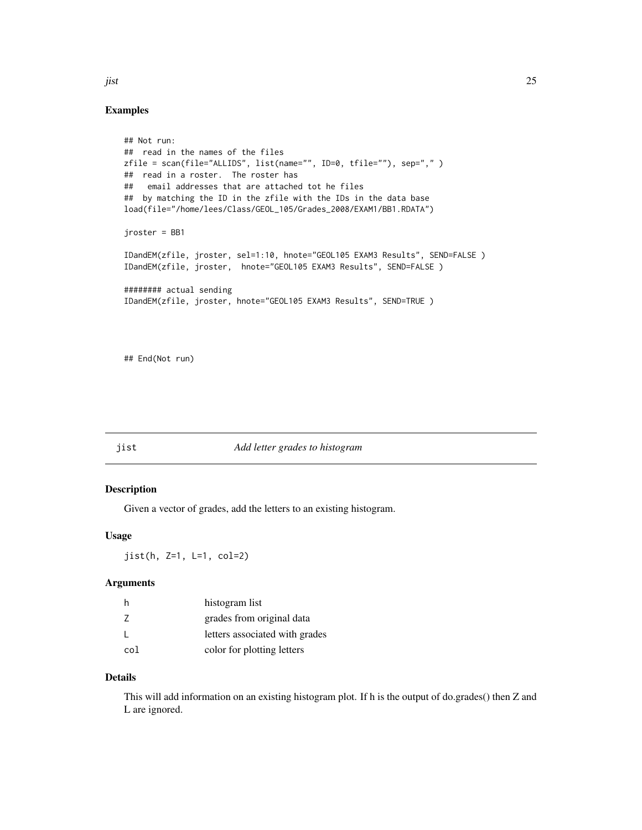#### Examples

```
## Not run:
## read in the names of the files
zfile = scan(file="ALLIDS", list(name="", ID=0, tfile=""), sep="," )
## read in a roster. The roster has
## email addresses that are attached tot he files
## by matching the ID in the zfile with the IDs in the data base
load(file="/home/lees/Class/GEOL_105/Grades_2008/EXAM1/BB1.RDATA")
jroster = BB1
IDandEM(zfile, jroster, sel=1:10, hnote="GEOL105 EXAM3 Results", SEND=FALSE )
IDandEM(zfile, jroster, hnote="GEOL105 EXAM3 Results", SEND=FALSE )
######## actual sending
IDandEM(zfile, jroster, hnote="GEOL105 EXAM3 Results", SEND=TRUE )
```
## End(Not run)

#### jist *Add letter grades to histogram*

### Description

Given a vector of grades, add the letters to an existing histogram.

### Usage

jist(h, Z=1, L=1, col=2)

### Arguments

| -h  | histogram list                 |
|-----|--------------------------------|
| 7   | grades from original data      |
|     | letters associated with grades |
| col | color for plotting letters     |

#### Details

This will add information on an existing histogram plot. If h is the output of do.grades() then Z and L are ignored.

<span id="page-24-0"></span>jist 25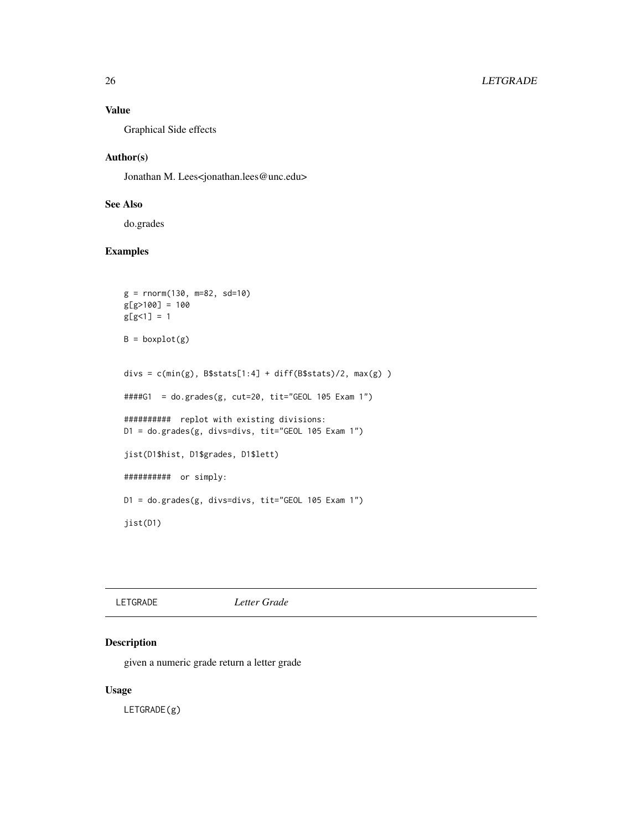### Value

Graphical Side effects

### Author(s)

Jonathan M. Lees<jonathan.lees@unc.edu>

### See Also

do.grades

### Examples

```
g = rnorm(130, m=82, sd=10)g[g>100] = 100
g[g<1] = 1B = boxplot(g)divs = c(min(g), B$stats[1:4] + diff(B$stats)/2, max(g) )####G1 = do.grades(g, cut=20, tit="GEOL 105 Exam 1")
########## replot with existing divisions:
D1 = do.grades(g, divs=divs, tit="GEOL 105 Exam 1")
jist(D1$hist, D1$grades, D1$lett)
########## or simply:
D1 = do.grades(g, divs=divs, tit="GEOL 105 Exam 1")
jist(D1)
```

| Letter Grade<br>LETGRADE |
|--------------------------|
|--------------------------|

### Description

given a numeric grade return a letter grade

### Usage

LETGRADE(g)

<span id="page-25-0"></span>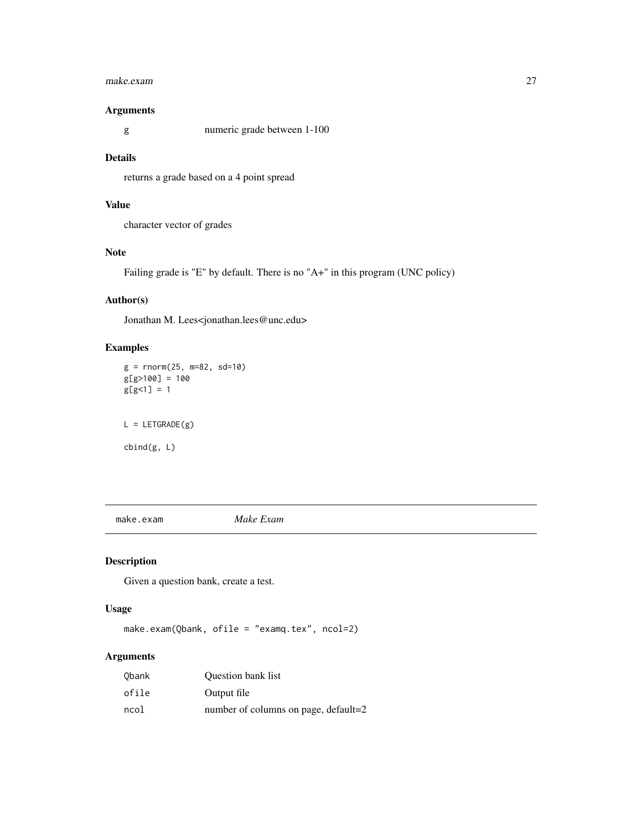#### <span id="page-26-0"></span>make.exam 27

### Arguments

g numeric grade between 1-100

#### Details

returns a grade based on a 4 point spread

### Value

character vector of grades

### Note

Failing grade is "E" by default. There is no "A+" in this program (UNC policy)

### Author(s)

Jonathan M. Lees<jonathan.lees@unc.edu>

### Examples

```
g = rnorm(25, m=82, sd=10)g[g>100] = 100
g[g<1] = 1L = LETGRADE(g)
```
cbind(g, L)

make.exam *Make Exam*

### Description

Given a question bank, create a test.

#### Usage

make.exam(Qbank, ofile = "examq.tex", ncol=2)

### Arguments

| Obank | <b>Ouestion bank list</b>            |
|-------|--------------------------------------|
| ofile | Output file                          |
| ncol  | number of columns on page, default=2 |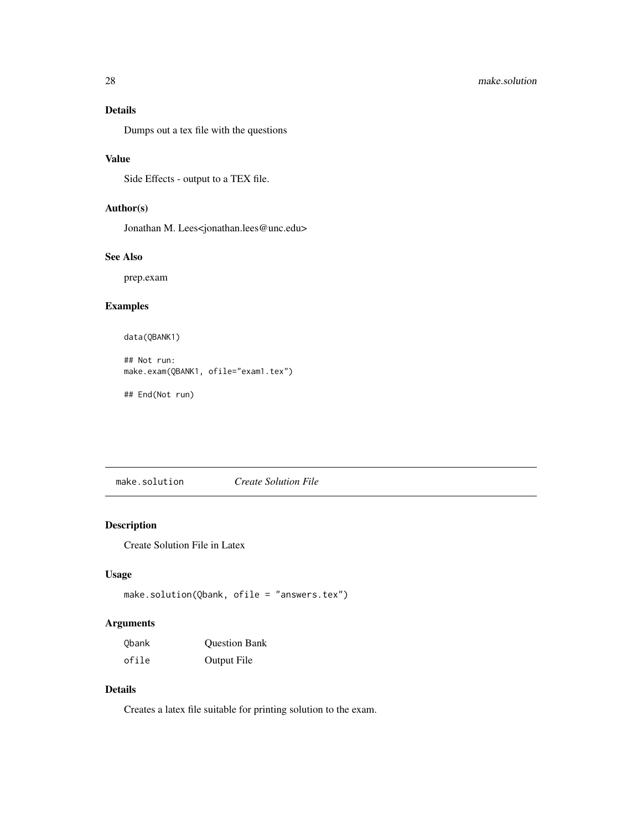### <span id="page-27-0"></span>Details

Dumps out a tex file with the questions

### Value

Side Effects - output to a TEX file.

### Author(s)

Jonathan M. Lees<jonathan.lees@unc.edu>

#### See Also

prep.exam

### Examples

```
data(QBANK1)
```
## Not run: make.exam(QBANK1, ofile="exam1.tex")

## End(Not run)

make.solution *Create Solution File*

### Description

Create Solution File in Latex

### Usage

```
make.solution(Qbank, ofile = "answers.tex")
```
### Arguments

| Obank | <b>Question Bank</b> |
|-------|----------------------|
| ofile | Output File          |

### Details

Creates a latex file suitable for printing solution to the exam.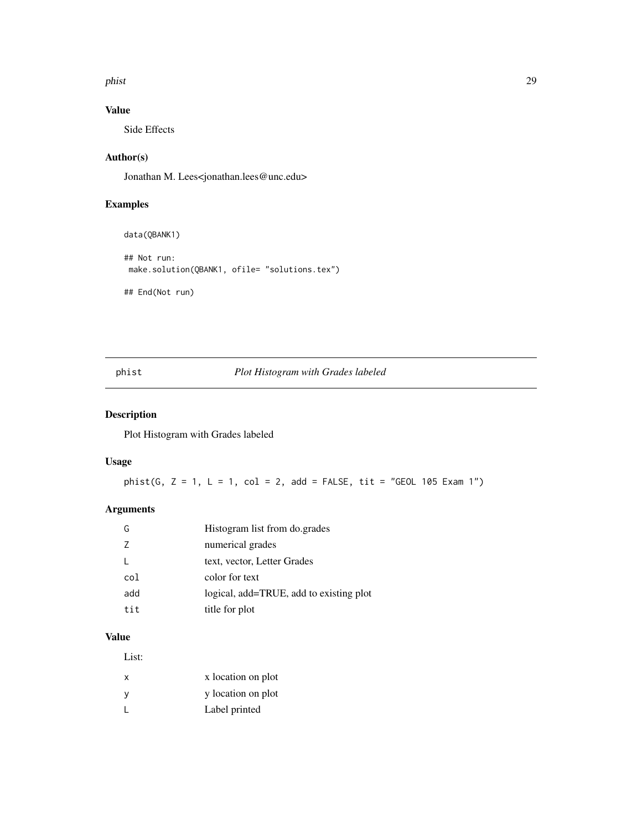<span id="page-28-0"></span>phist 29

### Value

Side Effects

### Author(s)

Jonathan M. Lees<jonathan.lees@unc.edu>

### Examples

data(QBANK1) ## Not run: make.solution(QBANK1, ofile= "solutions.tex") ## End(Not run)

### phist *Plot Histogram with Grades labeled*

### Description

Plot Histogram with Grades labeled

### Usage

 ${\sf phist}(G, Z = 1, L = 1, col = 2, add = FALSE, tit = "GEOL 105 Exam 1")$ 

### Arguments

| G   | Histogram list from do.grades           |
|-----|-----------------------------------------|
| 7   | numerical grades                        |
|     | text, vector, Letter Grades             |
| col | color for text                          |
| add | logical, add=TRUE, add to existing plot |
| tit | title for plot                          |

#### Value

List:

| x | x location on plot |
|---|--------------------|
| у | y location on plot |
|   | Label printed      |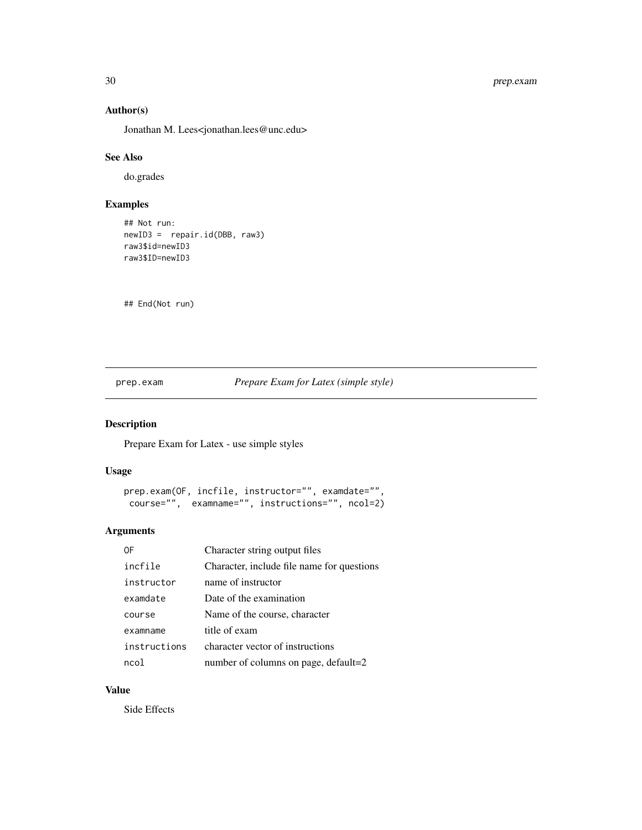### Author(s)

Jonathan M. Lees<jonathan.lees@unc.edu>

### See Also

do.grades

### Examples

```
## Not run:
newID3 = repair.id(DBB, raw3)
raw3$id=newID3
raw3$ID=newID3
```
## End(Not run)

prep.exam *Prepare Exam for Latex (simple style)*

### Description

Prepare Exam for Latex - use simple styles

### Usage

```
prep.exam(OF, incfile, instructor="", examdate="",
course="", examname="", instructions="", ncol=2)
```
### Arguments

| 0F           | Character string output files              |
|--------------|--------------------------------------------|
| incfile      | Character, include file name for questions |
| instructor   | name of instructor                         |
| examdate     | Date of the examination                    |
| course       | Name of the course, character              |
| examname     | title of exam                              |
| instructions | character vector of instructions           |
| ncol         | number of columns on page, default=2       |

### Value

Side Effects

<span id="page-29-0"></span>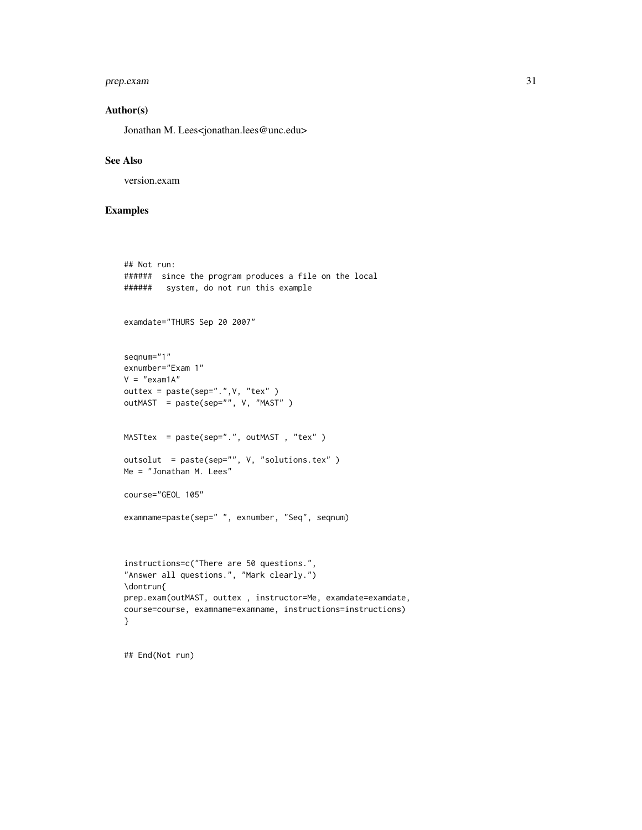### prep.exam 31

### Author(s)

Jonathan M. Lees<jonathan.lees@unc.edu>

#### See Also

version.exam

### Examples

```
## Not run:
###### since the program produces a file on the local
###### system, do not run this example
examdate="THURS Sep 20 2007"
seqnum="1"
exnumber="Exam 1"
V = "exam1A"outtex = paste(sep=".",V, "tex" )
outMAST = paste(sep="", V, "MAST" )
MASTtex = paste(sep=".", outMAST , "tex" )
outsolut = paste(sep="", V, "solutions.tex" )
Me = "Jonathan M. Lees"
course="GEOL 105"
examname=paste(sep=" ", exnumber, "Seq", seqnum)
instructions=c("There are 50 questions.",
"Answer all questions.", "Mark clearly.")
\dontrun{
prep.exam(outMAST, outtex , instructor=Me, examdate=examdate,
course=course, examname=examname, instructions=instructions)
}
```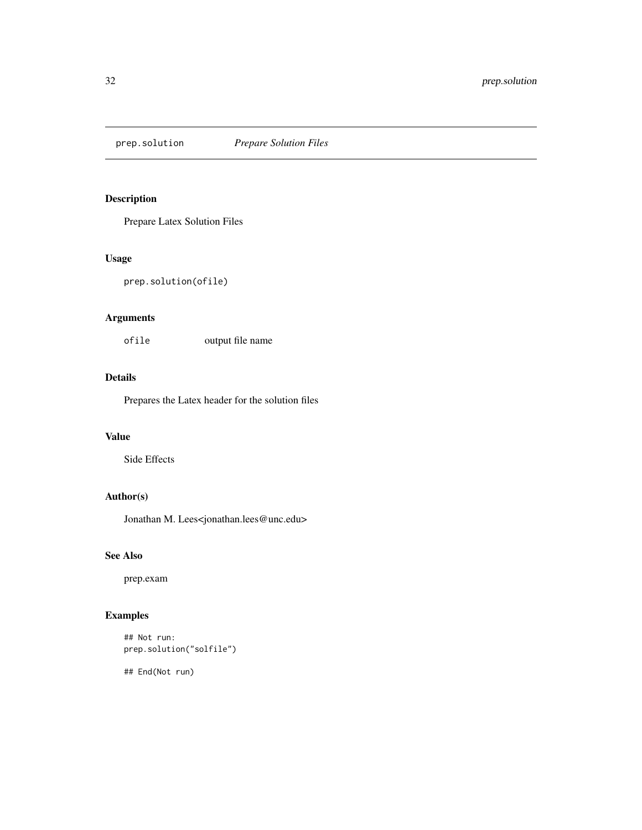<span id="page-31-0"></span>prep.solution *Prepare Solution Files*

### Description

Prepare Latex Solution Files

### Usage

prep.solution(ofile)

## Arguments

ofile output file name

### Details

Prepares the Latex header for the solution files

#### Value

Side Effects

### Author(s)

Jonathan M. Lees<jonathan.lees@unc.edu>

#### See Also

prep.exam

### Examples

```
## Not run:
prep.solution("solfile")
```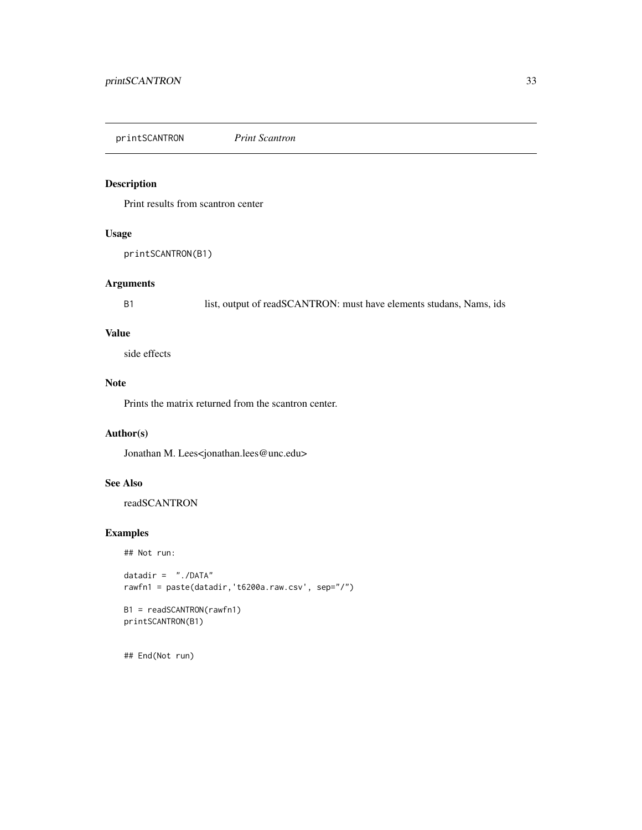<span id="page-32-0"></span>printSCANTRON *Print Scantron*

### Description

Print results from scantron center

### Usage

printSCANTRON(B1)

### Arguments

B1 list, output of readSCANTRON: must have elements studans, Nams, ids

### Value

side effects

### Note

Prints the matrix returned from the scantron center.

### Author(s)

Jonathan M. Lees<jonathan.lees@unc.edu>

### See Also

readSCANTRON

### Examples

## Not run:

```
datadir = "./DATA"
rawfn1 = paste(datadir,'t6200a.raw.csv', sep="/")
```

```
B1 = readSCANTRON(rawfn1)
printSCANTRON(B1)
```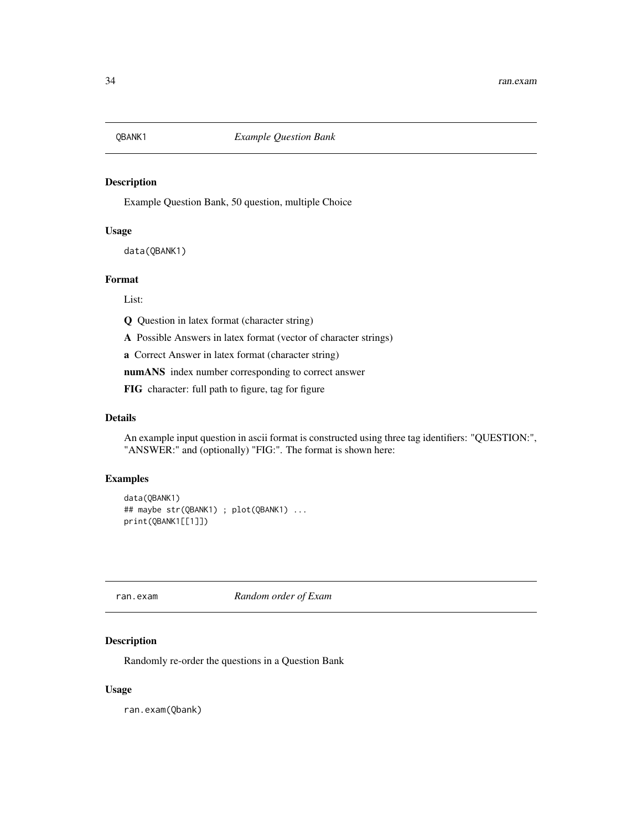<span id="page-33-0"></span>

Example Question Bank, 50 question, multiple Choice

### Usage

data(QBANK1)

#### Format

List:

Q Question in latex format (character string)

A Possible Answers in latex format (vector of character strings)

a Correct Answer in latex format (character string)

numANS index number corresponding to correct answer

FIG character: full path to figure, tag for figure

### Details

An example input question in ascii format is constructed using three tag identifiers: "QUESTION:", "ANSWER:" and (optionally) "FIG:". The format is shown here:

### Examples

```
data(QBANK1)
## maybe str(QBANK1) ; plot(QBANK1) ...
print(QBANK1[[1]])
```
ran.exam *Random order of Exam*

#### Description

Randomly re-order the questions in a Question Bank

#### Usage

ran.exam(Qbank)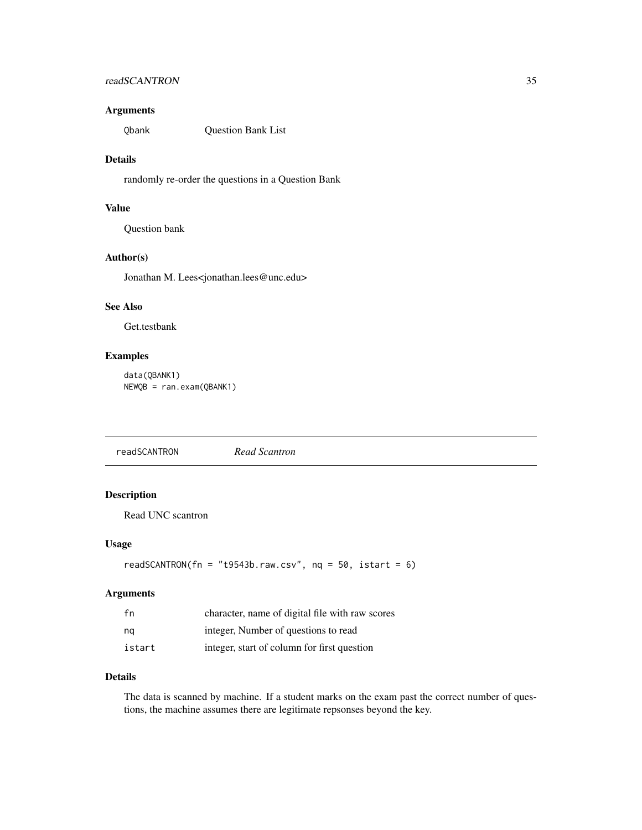### <span id="page-34-0"></span>readSCANTRON 35

### Arguments

Qbank Question Bank List

### Details

randomly re-order the questions in a Question Bank

### Value

Question bank

### Author(s)

Jonathan M. Lees<jonathan.lees@unc.edu>

### See Also

Get.testbank

### Examples

data(QBANK1) NEWQB = ran.exam(QBANK1)

readSCANTRON *Read Scantron*

### Description

Read UNC scantron

#### Usage

```
readSCANTRON(fn = "t9543b.raw.csv", nq = 50, istart = 6)
```
### Arguments

| fn     | character, name of digital file with raw scores |
|--------|-------------------------------------------------|
| ng     | integer, Number of questions to read            |
| istart | integer, start of column for first question     |

#### Details

The data is scanned by machine. If a student marks on the exam past the correct number of questions, the machine assumes there are legitimate repsonses beyond the key.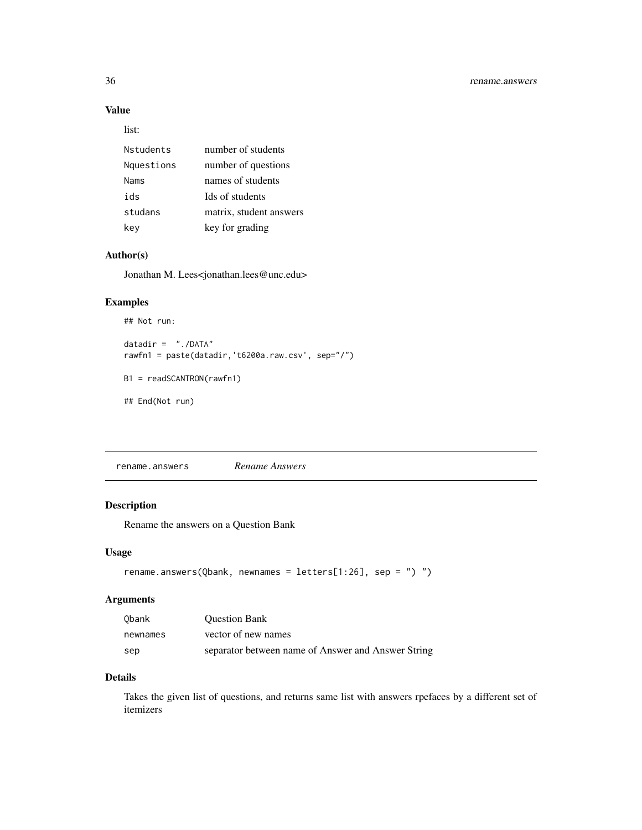### Value

list:

| number of students      |
|-------------------------|
| number of questions     |
| names of students       |
| Ids of students         |
| matrix, student answers |
| key for grading         |
|                         |

### Author(s)

Jonathan M. Lees<jonathan.lees@unc.edu>

### Examples

## Not run:

```
datadir = "./DATA"
rawfn1 = paste(datadir,'t6200a.raw.csv', sep="/")
B1 = readSCANTRON(rawfn1)
```
## End(Not run)

rename.answers *Rename Answers*

### Description

Rename the answers on a Question Bank

### Usage

```
rename.answers(Qbank, newnames = letters[1:26], sep = ") ")
```
### Arguments

| Obank    | <b>Ouestion Bank</b>                               |
|----------|----------------------------------------------------|
| newnames | vector of new names                                |
| sep      | separator between name of Answer and Answer String |

### Details

Takes the given list of questions, and returns same list with answers rpefaces by a different set of itemizers

<span id="page-35-0"></span>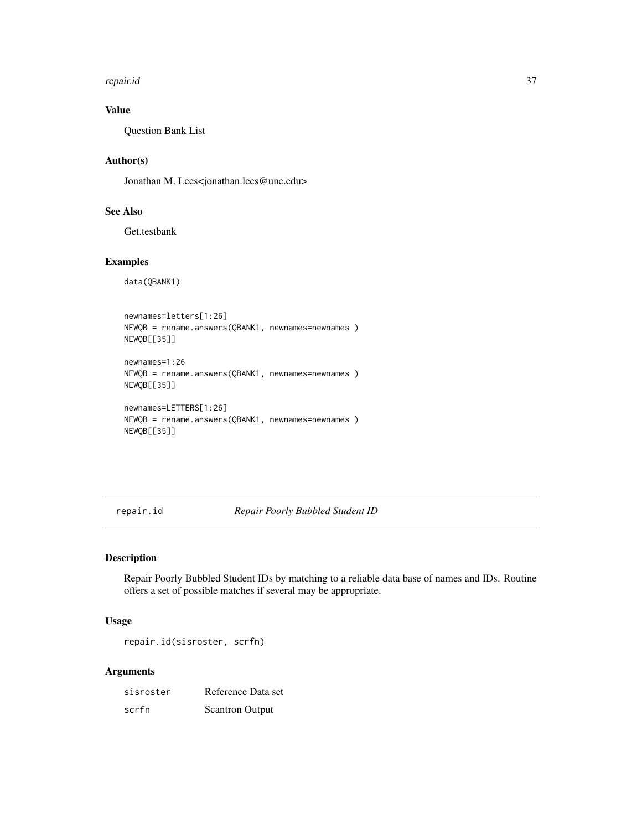<span id="page-36-0"></span>repair.id 37

### Value

Question Bank List

### Author(s)

Jonathan M. Lees<jonathan.lees@unc.edu>

### See Also

Get.testbank

### Examples

```
data(QBANK1)
```

```
newnames=letters[1:26]
NEWQB = rename.answers(QBANK1, newnames=newnames )
NEWQB[[35]]
newnames=1:26
NEWQB = rename.answers(QBANK1, newnames=newnames )
NEWQB[[35]]
newnames=LETTERS[1:26]
```

```
NEWQB = rename.answers(QBANK1, newnames=newnames )
NEWQB[[35]]
```
repair.id *Repair Poorly Bubbled Student ID*

### Description

Repair Poorly Bubbled Student IDs by matching to a reliable data base of names and IDs. Routine offers a set of possible matches if several may be appropriate.

### Usage

repair.id(sisroster, scrfn)

### Arguments

| sisroster | Reference Data set     |
|-----------|------------------------|
| scrfn     | <b>Scantron Output</b> |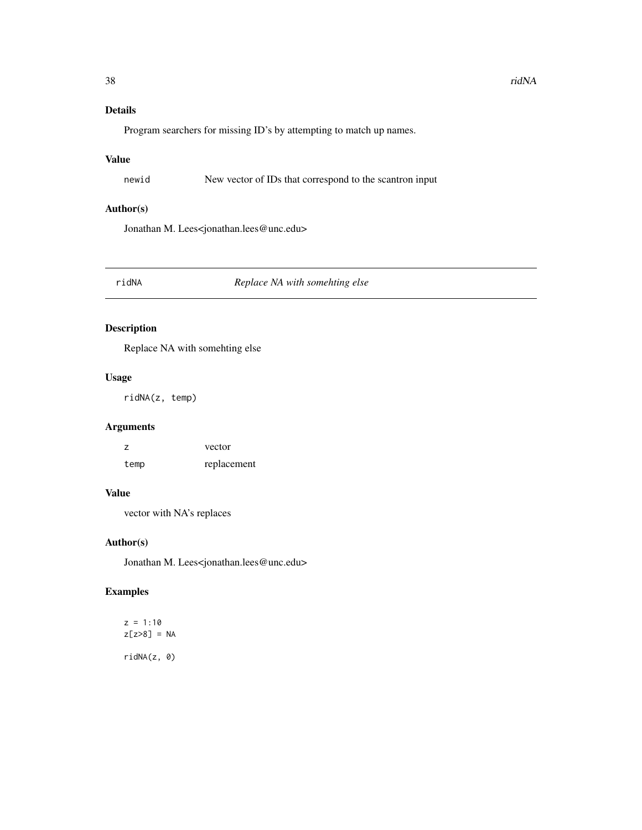### <span id="page-37-0"></span>Details

Program searchers for missing ID's by attempting to match up names.

### Value

newid New vector of IDs that correspond to the scantron input

### Author(s)

Jonathan M. Lees<jonathan.lees@unc.edu>

### ridNA *Replace NA with somehting else*

### Description

Replace NA with somehting else

### Usage

ridNA(z, temp)

### Arguments

z vector temp replacement

### Value

vector with NA's replaces

### Author(s)

Jonathan M. Lees<jonathan.lees@unc.edu>

## Examples

 $z = 1:10$ z[z>8] = NA ridNA(z, 0)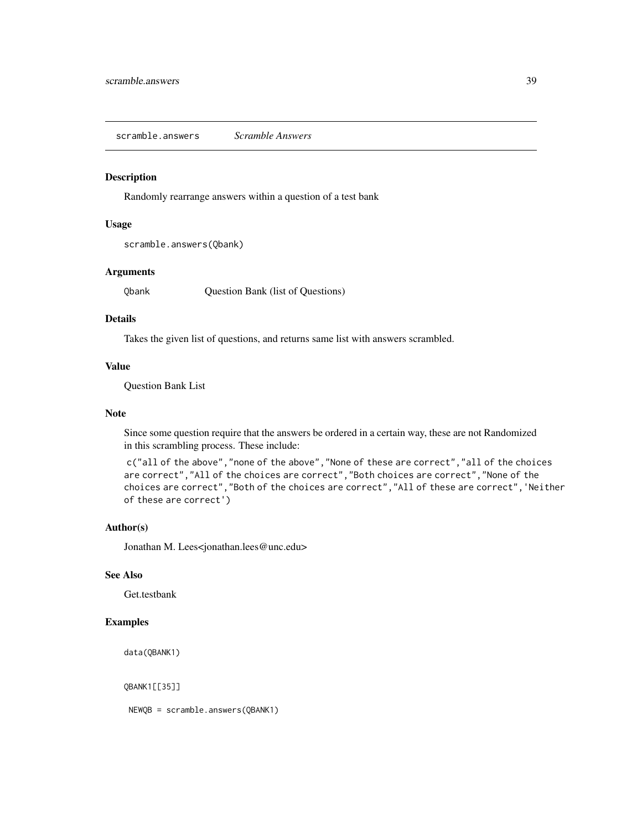<span id="page-38-0"></span>scramble.answers *Scramble Answers*

#### Description

Randomly rearrange answers within a question of a test bank

### Usage

scramble.answers(Qbank)

### Arguments

Qbank Question Bank (list of Questions)

### Details

Takes the given list of questions, and returns same list with answers scrambled.

### Value

Question Bank List

#### Note

Since some question require that the answers be ordered in a certain way, these are not Randomized in this scrambling process. These include:

c("all of the above","none of the above","None of these are correct","all of the choices are correct","All of the choices are correct","Both choices are correct","None of the choices are correct","Both of the choices are correct","All of these are correct",'Neither of these are correct')

#### Author(s)

Jonathan M. Lees<jonathan.lees@unc.edu>

#### See Also

Get.testbank

### Examples

data(QBANK1)

QBANK1[[35]]

NEWQB = scramble.answers(QBANK1)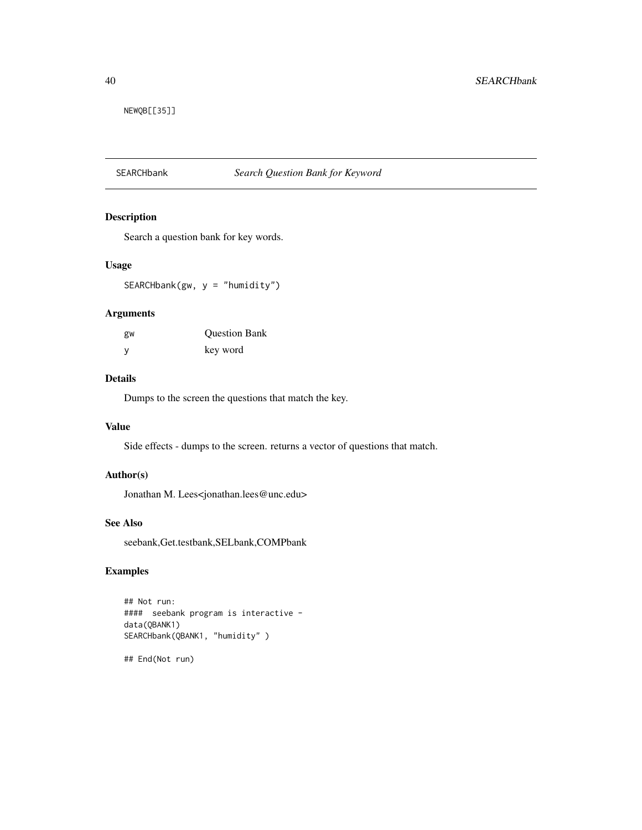<span id="page-39-0"></span>NEWQB[[35]]

## SEARCHbank *Search Question Bank for Keyword*

### Description

Search a question bank for key words.

### Usage

 $SEARCHbank(gw, y = "humidity")$ 

#### Arguments

| gw | <b>Ouestion Bank</b> |
|----|----------------------|
| у  | key word             |

#### Details

Dumps to the screen the questions that match the key.

### Value

Side effects - dumps to the screen. returns a vector of questions that match.

### Author(s)

Jonathan M. Lees<jonathan.lees@unc.edu>

### See Also

seebank,Get.testbank,SELbank,COMPbank

### Examples

```
## Not run:
#### seebank program is interactive -
data(QBANK1)
SEARCHbank(QBANK1, "humidity" )
```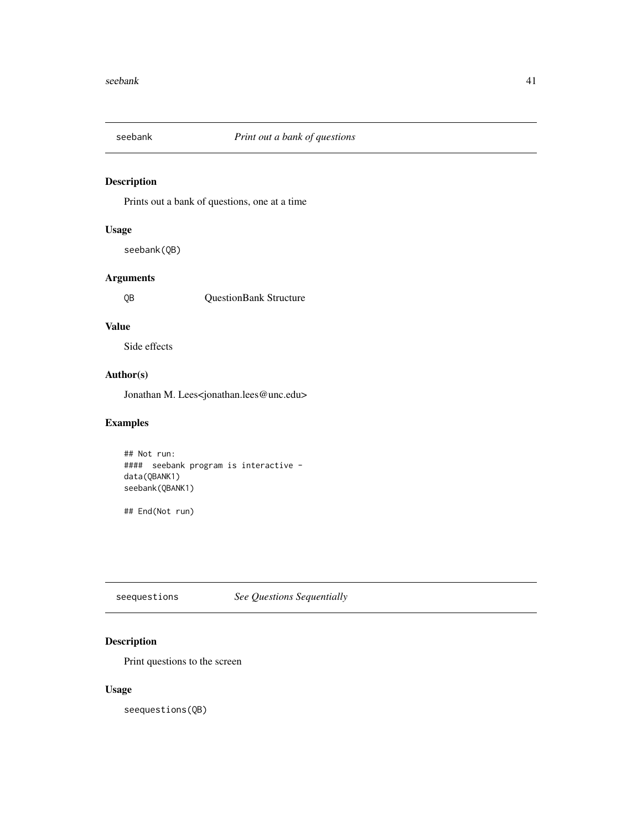<span id="page-40-0"></span>

Prints out a bank of questions, one at a time

### Usage

seebank(QB)

### Arguments

QB QuestionBank Structure

### Value

Side effects

### Author(s)

Jonathan M. Lees<jonathan.lees@unc.edu>

### Examples

```
## Not run:
#### seebank program is interactive -
data(QBANK1)
seebank(QBANK1)
```
## End(Not run)

seequestions *See Questions Sequentially*

### Description

Print questions to the screen

### Usage

seequestions(QB)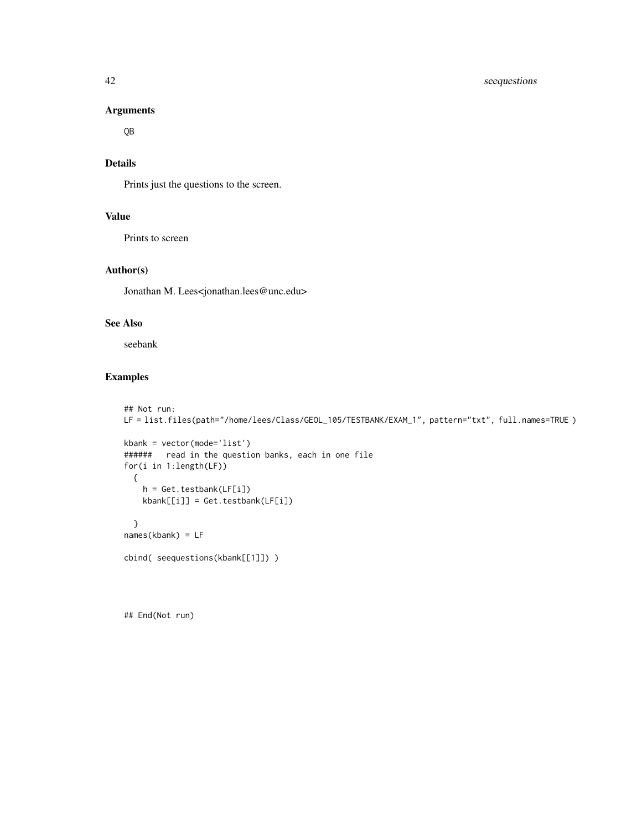#### Arguments

QB

### Details

Prints just the questions to the screen.

### Value

Prints to screen

### Author(s)

Jonathan M. Lees<jonathan.lees@unc.edu>

### See Also

seebank

### Examples

```
## Not run:
LF = list.files(path="/home/lees/Class/GEOL_105/TESTBANK/EXAM_1", pattern="txt", full.names=TRUE )
kbank = vector(mode='list')
###### read in the question banks, each in one file
for(i in 1:length(LF))
  {
   h = Get.testbank(LF[i])
   kbank[[i]] = Get.testbank(LF[i])
  }
names(kbank) = LF
cbind( seequestions(kbank[[1]]) )
```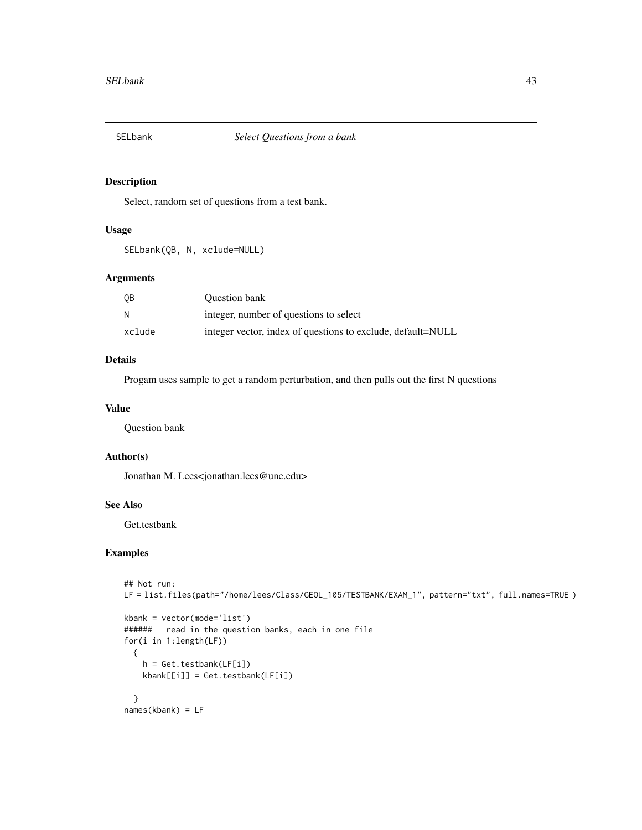<span id="page-42-0"></span>

Select, random set of questions from a test bank.

### Usage

SELbank(QB, N, xclude=NULL)

### Arguments

| 0 <sub>B</sub> | <b>Ouestion bank</b>                                        |
|----------------|-------------------------------------------------------------|
| N              | integer, number of questions to select                      |
| xclude         | integer vector, index of questions to exclude, default=NULL |

### Details

Progam uses sample to get a random perturbation, and then pulls out the first N questions

#### Value

Question bank

### Author(s)

Jonathan M. Lees<jonathan.lees@unc.edu>

### See Also

Get.testbank

```
## Not run:
LF = list.files(path="/home/lees/Class/GEOL_105/TESTBANK/EXAM_1", pattern="txt", full.names=TRUE )
```

```
kbank = vector(mode='list')
###### read in the question banks, each in one file
for(i in 1:length(LF))
  {
   h = Get.testbank(LF[i])
   kbank[[i]] = Get.testbank(LF[i])
  }
names(kbank) = LF
```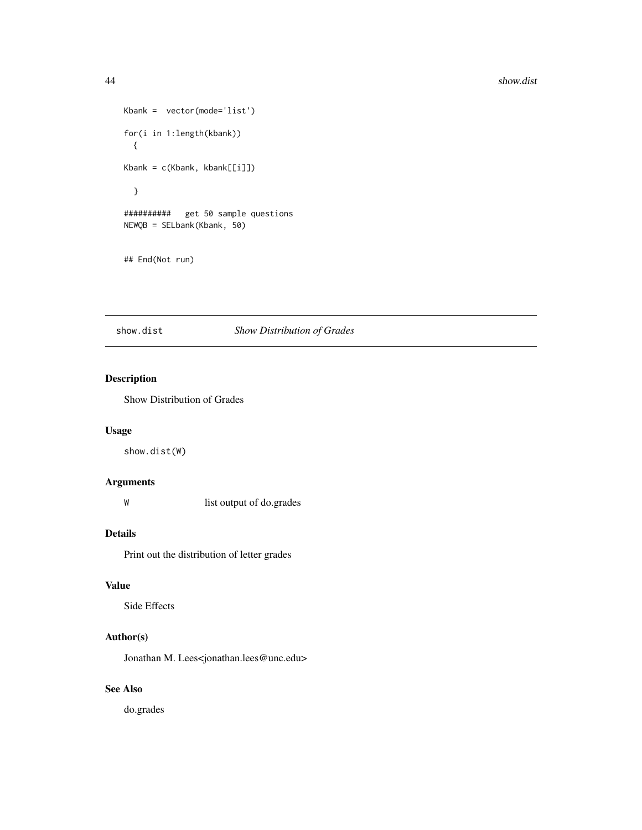```
Kbank = vector(mode='list')
for(i in 1:length(kbank))
 {
Kbank = c(Kbank, kbank[[i]])}
########## get 50 sample questions
NEWQB = SELbank(Kbank, 50)
## End(Not run)
```
### show.dist *Show Distribution of Grades*

### Description

Show Distribution of Grades

### Usage

show.dist(W)

### Arguments

W list output of do.grades

### Details

Print out the distribution of letter grades

### Value

Side Effects

### Author(s)

Jonathan M. Lees<jonathan.lees@unc.edu>

### See Also

do.grades

<span id="page-43-0"></span>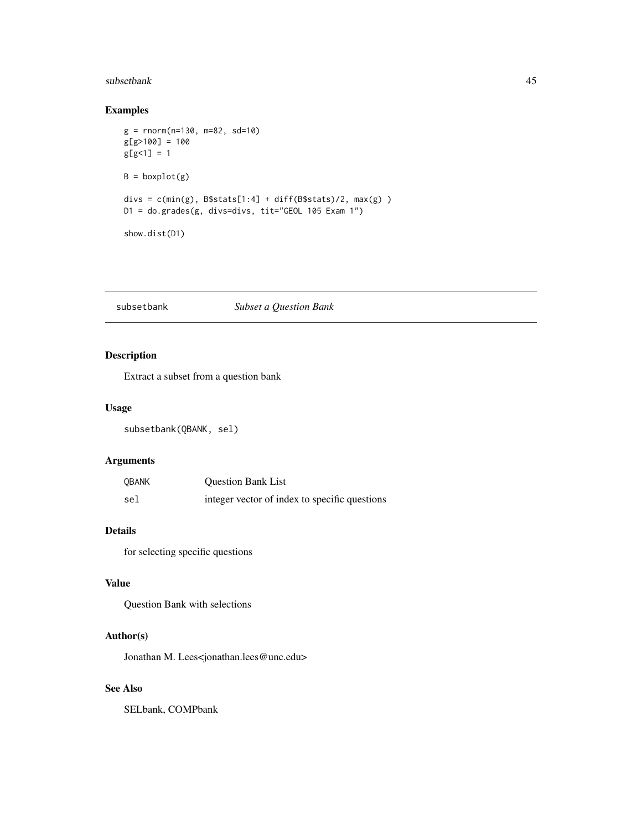#### <span id="page-44-0"></span>subsetbank 45

### Examples

```
g = rnorm(n=130, m=82, sd=10)
g[g>100] = 100
g[g<1] = 1B = boxplot(g)divs = c(min(g), B$stats[1:4] + diff(B$stats)/2, max(g) )D1 = do.grades(g, divs=divs, tit="GEOL 105 Exam 1")
show.dist(D1)
```
subsetbank *Subset a Question Bank*

### Description

Extract a subset from a question bank

### Usage

subsetbank(QBANK, sel)

### Arguments

| <b>OBANK</b> | <b>Ouestion Bank List</b>                     |
|--------------|-----------------------------------------------|
| sel          | integer vector of index to specific questions |

### Details

for selecting specific questions

### Value

Question Bank with selections

#### Author(s)

Jonathan M. Lees<jonathan.lees@unc.edu>

### See Also

SELbank, COMPbank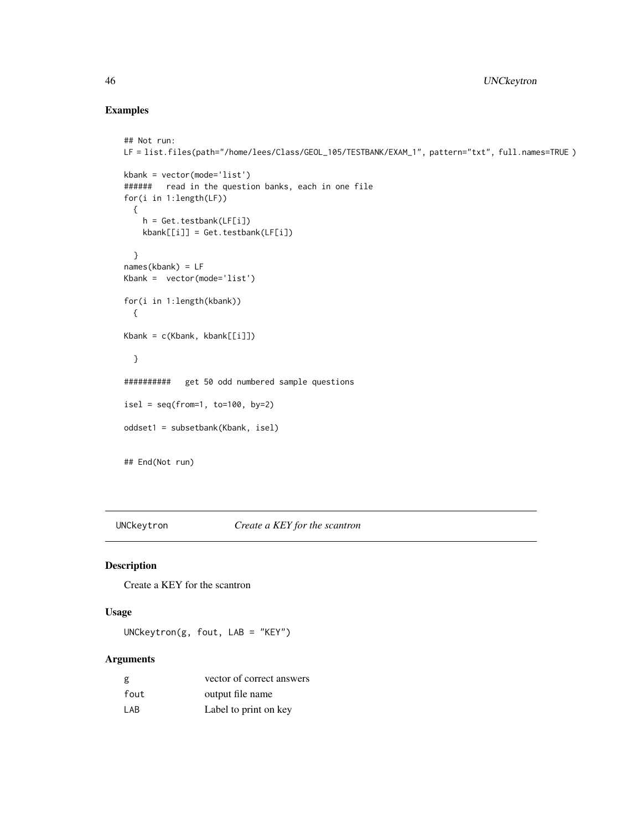### Examples

```
## Not run:
LF = list.files(path="/home/lees/Class/GEOL_105/TESTBANK/EXAM_1", pattern="txt", full.names=TRUE )
kbank = vector(mode='list')
###### read in the question banks, each in one file
for(i in 1:length(LF))
  {
    h = Get.testbank(LF[i])
    kbank[[i]] = Get.testbank(LF[i])
  }
names(kbank) = LF
Kbank = vector(mode='list')
for(i in 1:length(kbank))
  {
Kbank = c(Kbank, kbank[[i]])}
########## get 50 odd numbered sample questions
isel = seq(from=1, to=100, by=2)oddset1 = subsetbank(Kbank, isel)
## End(Not run)
```
UNCkeytron *Create a KEY for the scantron*

### Description

Create a KEY for the scantron

### Usage

UNCkeytron(g, fout, LAB = "KEY")

### Arguments

| g    | vector of correct answers |
|------|---------------------------|
| fout | output file name          |
| I AB | Label to print on key     |

<span id="page-45-0"></span>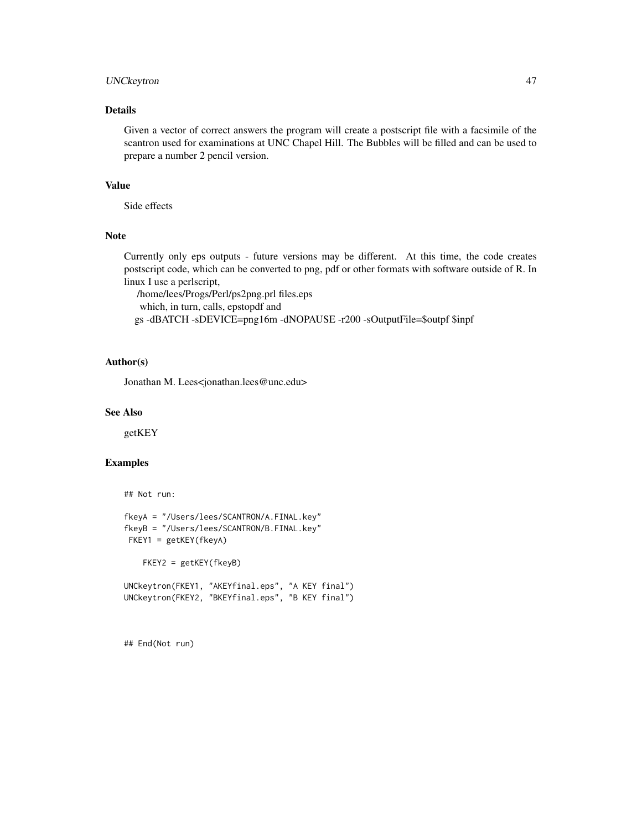### UNCkeytron 47

### Details

Given a vector of correct answers the program will create a postscript file with a facsimile of the scantron used for examinations at UNC Chapel Hill. The Bubbles will be filled and can be used to prepare a number 2 pencil version.

### Value

Side effects

### Note

Currently only eps outputs - future versions may be different. At this time, the code creates postscript code, which can be converted to png, pdf or other formats with software outside of R. In linux I use a perlscript,

/home/lees/Progs/Perl/ps2png.prl files.eps which, in turn, calls, epstopdf and gs -dBATCH -sDEVICE=png16m -dNOPAUSE -r200 -sOutputFile=\$outpf \$inpf

### Author(s)

Jonathan M. Lees<jonathan.lees@unc.edu>

#### See Also

getKEY

### Examples

```
## Not run:
```

```
fkeyA = "/Users/lees/SCANTRON/A.FINAL.key"
fkeyB = "/Users/lees/SCANTRON/B.FINAL.key"
FKEY1 = getKEY(fkeyA)
```
FKEY2 = getKEY(fkeyB)

UNCkeytron(FKEY1, "AKEYfinal.eps", "A KEY final") UNCkeytron(FKEY2, "BKEYfinal.eps", "B KEY final")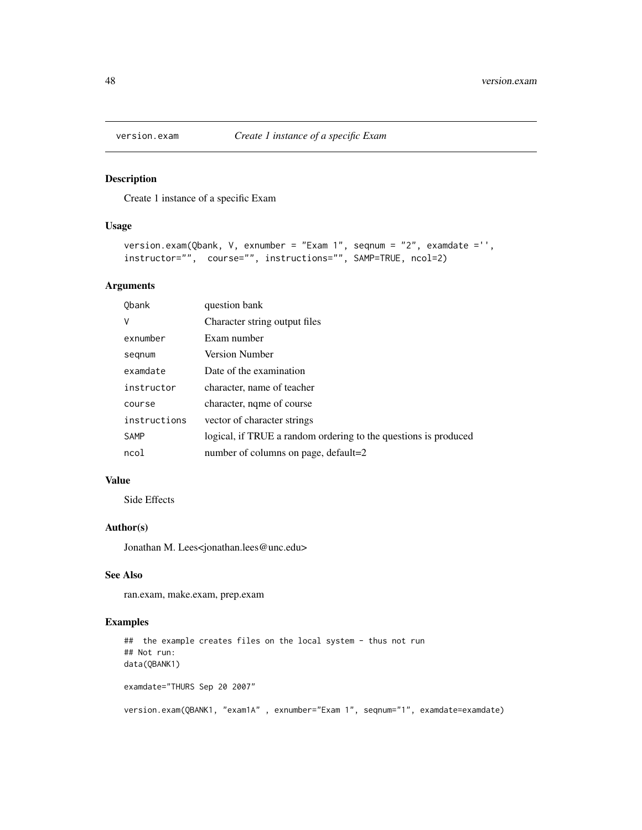<span id="page-47-0"></span>

Create 1 instance of a specific Exam

### Usage

```
version.exam(Qbank, V, exnumber = "Exam 1", seqnum = "2", examdate ='',
instructor="", course="", instructions="", SAMP=TRUE, ncol=2)
```
### Arguments

| Obank        | question bank                                                   |
|--------------|-----------------------------------------------------------------|
| V            | Character string output files                                   |
| exnumber     | Exam number                                                     |
| segnum       | Version Number                                                  |
| examdate     | Date of the examination                                         |
| instructor   | character, name of teacher                                      |
| course       | character, nqme of course                                       |
| instructions | vector of character strings                                     |
| <b>SAMP</b>  | logical, if TRUE a random ordering to the questions is produced |
| ncol         | number of columns on page, default=2                            |

### Value

Side Effects

### Author(s)

Jonathan M. Lees<jonathan.lees@unc.edu>

### See Also

ran.exam, make.exam, prep.exam

```
## the example creates files on the local system - thus not run
## Not run:
data(QBANK1)
examdate="THURS Sep 20 2007"
version.exam(QBANK1, "exam1A" , exnumber="Exam 1", seqnum="1", examdate=examdate)
```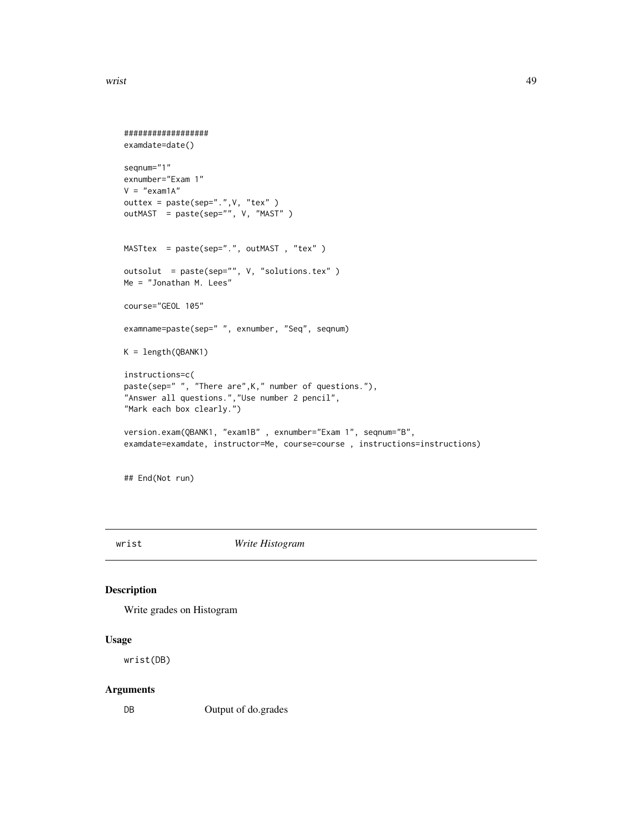```
##################
examdate=date()
seqnum="1"
exnumber="Exam 1"
V = "exam1A"outtex = paste(sep=".",V, "tex" )
outMAST = paste(sep="", V, "MAST" )
MASTtex = paste(sep=".", outMAST, "tex")
outsolut = paste(sep="", V, "solutions.tex" )
Me = "Jonathan M. Lees"
course="GEOL 105"
examname=paste(sep=" ", exnumber, "Seq", seqnum)
K = length(QBANK1)
instructions=c(
paste(sep=" ", "There are",K," number of questions."),
"Answer all questions.","Use number 2 pencil",
"Mark each box clearly.")
version.exam(QBANK1, "exam1B" , exnumber="Exam 1", seqnum="B",
examdate=examdate, instructor=Me, course=course , instructions=instructions)
```
## End(Not run)

wrist *Write Histogram*

### Description

Write grades on Histogram

### Usage

wrist(DB)

#### Arguments

DB Output of do.grades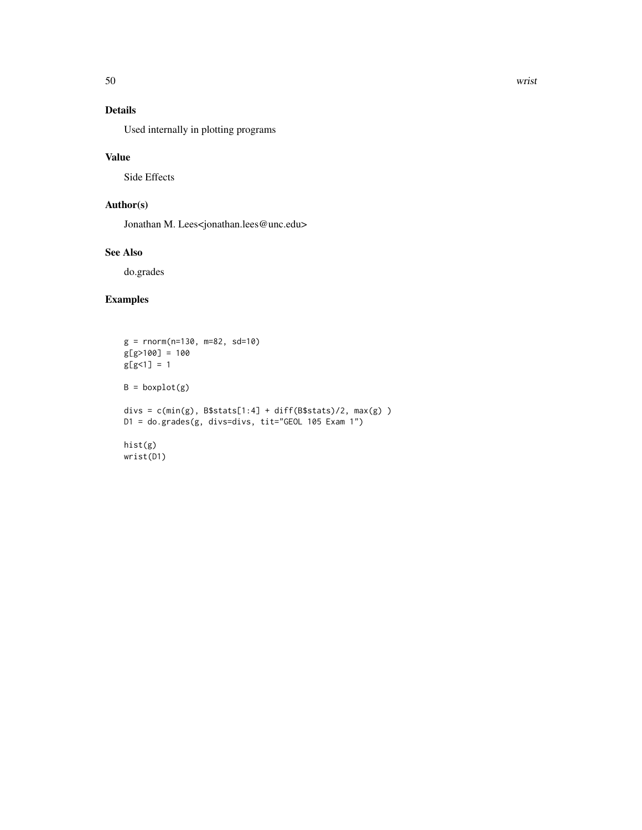## Details

Used internally in plotting programs

### Value

Side Effects

### Author(s)

Jonathan M. Lees<jonathan.lees@unc.edu>

### See Also

do.grades

```
g = rnorm(n=130, m=82, sd=10)g[g>100] = 100
g[g<1] = 1B = boxplot(g)divs = c(min(g), B$stats[1:4] + diff(B$stats)/2, max(g) )
D1 = do.grades(g, divs=divs, tit="GEOL 105 Exam 1")
hist(g)
wrist(D1)
```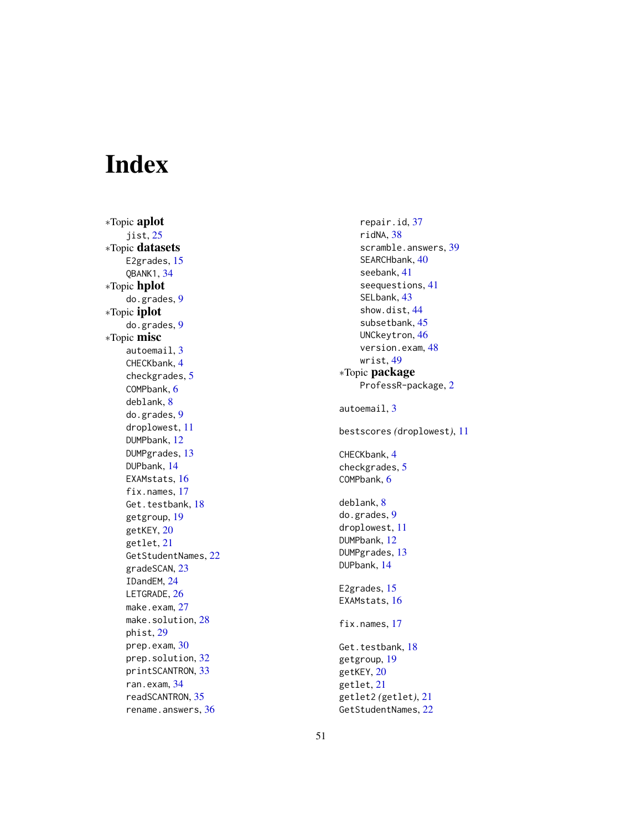# <span id="page-50-0"></span>Index

∗Topic aplot jist , [25](#page-24-0) ∗Topic datasets E2grades, [15](#page-14-0) QBANK1 , [34](#page-33-0) ∗Topic hplot do.grades , [9](#page-8-0) ∗Topic iplot do.grades , [9](#page-8-0) ∗Topic misc autoemail, [3](#page-2-0) CHECKbank , [4](#page-3-0) checkgrades , [5](#page-4-0) COMPbank , [6](#page-5-0) deblank , [8](#page-7-0) do.grades , [9](#page-8-0) droplowest , [11](#page-10-0) DUMPbank , [12](#page-11-0) DUMPgrades , [13](#page-12-0) DUPbank , [14](#page-13-0) EXAMstats, [16](#page-15-0) fix.names, [17](#page-16-0) Get.testbank, [18](#page-17-0) getgroup , [19](#page-18-0) getKEY , [20](#page-19-0) getlet , [21](#page-20-0) GetStudentNames, [22](#page-21-0) gradeSCAN , [23](#page-22-0) IDandEM , [24](#page-23-0) LETGRADE, [26](#page-25-0) make.exam, [27](#page-26-0) make.solution, [28](#page-27-0) phist , [29](#page-28-0) prep.exam , [30](#page-29-0) prep.solution, [32](#page-31-0) printSCANTRON, [33](#page-32-0) ran.exam , [34](#page-33-0) readSCANTRON, [35](#page-34-0) rename.answers, [36](#page-35-0)

repair.id , [37](#page-36-0) ridNA , [38](#page-37-0) scramble.answers, [39](#page-38-0) SEARCHbank, [40](#page-39-0) seebank , [41](#page-40-0) seequestions , [41](#page-40-0) SELbank, [43](#page-42-0) show.dist , [44](#page-43-0) subsetbank , [45](#page-44-0) UNCkeytron , [46](#page-45-0) version.exam , [48](#page-47-0) wrist , [49](#page-48-0) ∗Topic package ProfessR-package , [2](#page-1-0) autoemail, [3](#page-2-0) bestscores *(*droplowest *)* , [11](#page-10-0) CHECKbank , [4](#page-3-0) checkgrades , [5](#page-4-0) COMPbank , [6](#page-5-0) deblank, <mark>[8](#page-7-0)</mark> do.grades , [9](#page-8-0) droplowest , [11](#page-10-0) DUMPbank , [12](#page-11-0) DUMPgrades , [13](#page-12-0) DUPbank , [14](#page-13-0) E2grades, [15](#page-14-0) EXAMstats, [16](#page-15-0) fix.names, [17](#page-16-0) Get.testbank, [18](#page-17-0) getgroup , [19](#page-18-0) getKEY, [20](#page-19-0) getlet , [21](#page-20-0) getlet2 *(*getlet *)* , [21](#page-20-0)

GetStudentNames , [22](#page-21-0)